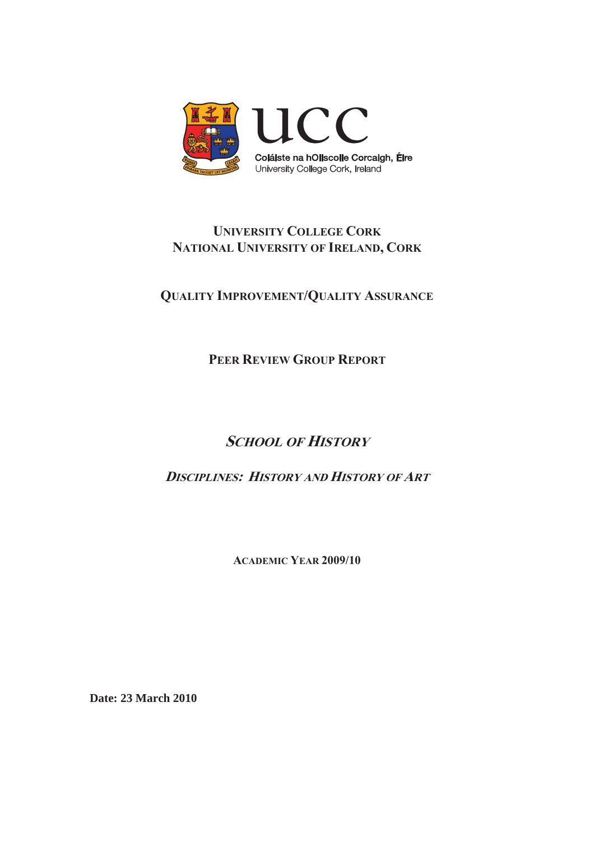

# **UNIVERSITY COLLEGE CORK NATIONAL UNIVERSITY OF IRELAND, CORK**

**QUALITY IMPROVEMENT/QUALITY ASSURANCE**

**PEER REVIEW GROUP REPORT**

# **SCHOOL OF HISTORY**

**DISCIPLINES: HISTORY AND HISTORY OF ART**

**ACADEMIC YEAR 2009/10** 

**Date: 23 March 2010**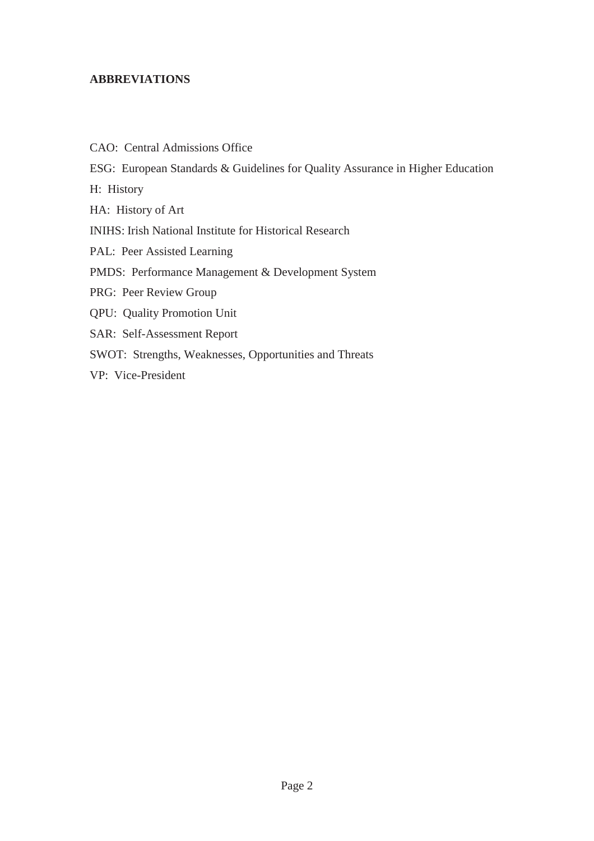#### **ABBREVIATIONS**

CAO: Central Admissions Office ESG: European Standards & Guidelines for Quality Assurance in Higher Education H: History HA: History of Art INIHS: Irish National Institute for Historical Research PAL: Peer Assisted Learning PMDS: Performance Management & Development System PRG: Peer Review Group QPU: Quality Promotion Unit SAR: Self-Assessment Report SWOT: Strengths, Weaknesses, Opportunities and Threats VP: Vice-President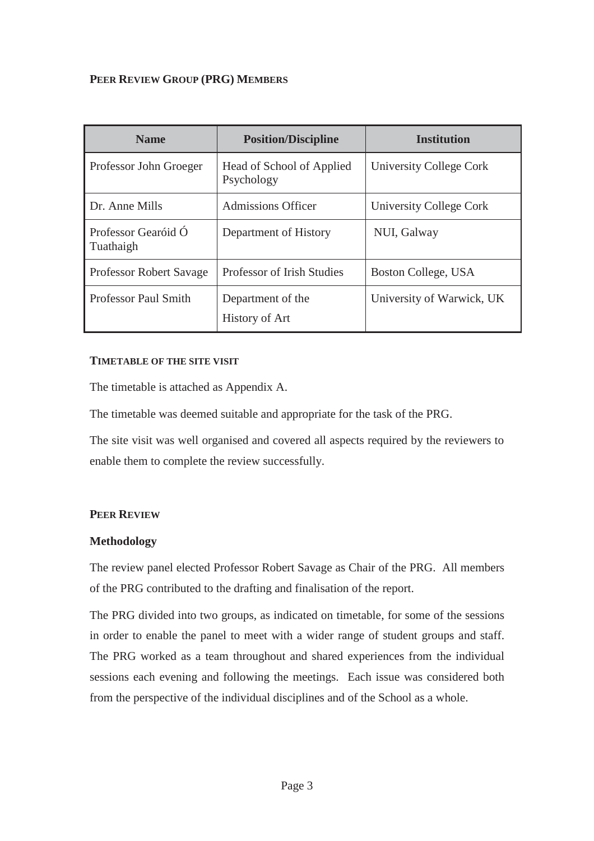## **PEER REVIEW GROUP (PRG) MEMBERS**

| <b>Name</b>                      | <b>Position/Discipline</b>              | <b>Institution</b>        |
|----------------------------------|-----------------------------------------|---------------------------|
| Professor John Groeger           | Head of School of Applied<br>Psychology | University College Cork   |
| Dr. Anne Mills                   | <b>Admissions Officer</b>               | University College Cork   |
| Professor Gearóid Ó<br>Tuathaigh | Department of History                   | NUI, Galway               |
| <b>Professor Robert Savage</b>   | Professor of Irish Studies              | Boston College, USA       |
| Professor Paul Smith             | Department of the<br>History of Art     | University of Warwick, UK |

#### **TIMETABLE OF THE SITE VISIT**

The timetable is attached as Appendix A.

The timetable was deemed suitable and appropriate for the task of the PRG.

The site visit was well organised and covered all aspects required by the reviewers to enable them to complete the review successfully.

#### **PEER REVIEW**

#### **Methodology**

The review panel elected Professor Robert Savage as Chair of the PRG. All members of the PRG contributed to the drafting and finalisation of the report.

The PRG divided into two groups, as indicated on timetable, for some of the sessions in order to enable the panel to meet with a wider range of student groups and staff. The PRG worked as a team throughout and shared experiences from the individual sessions each evening and following the meetings. Each issue was considered both from the perspective of the individual disciplines and of the School as a whole.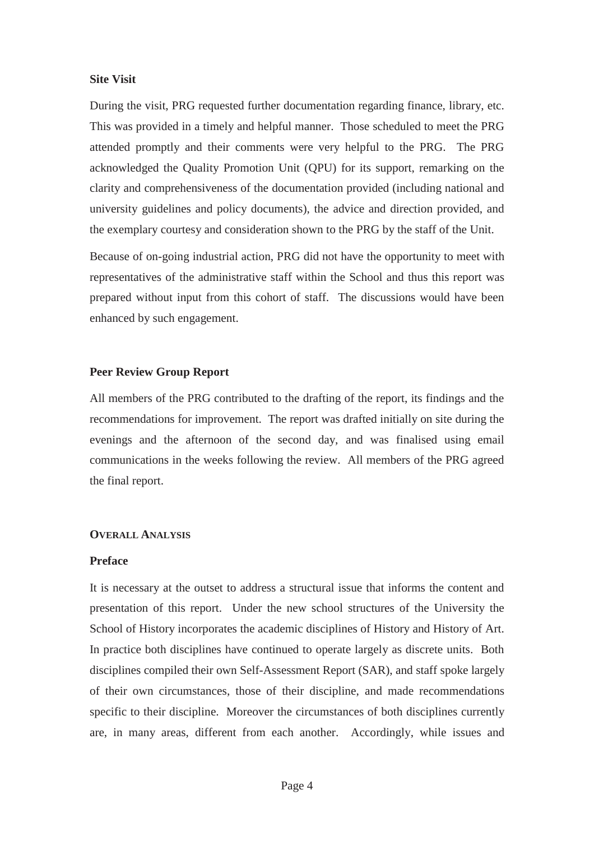#### **Site Visit**

During the visit, PRG requested further documentation regarding finance, library, etc. This was provided in a timely and helpful manner. Those scheduled to meet the PRG attended promptly and their comments were very helpful to the PRG. The PRG acknowledged the Quality Promotion Unit (QPU) for its support, remarking on the clarity and comprehensiveness of the documentation provided (including national and university guidelines and policy documents), the advice and direction provided, and the exemplary courtesy and consideration shown to the PRG by the staff of the Unit.

Because of on-going industrial action, PRG did not have the opportunity to meet with representatives of the administrative staff within the School and thus this report was prepared without input from this cohort of staff. The discussions would have been enhanced by such engagement.

#### **Peer Review Group Report**

All members of the PRG contributed to the drafting of the report, its findings and the recommendations for improvement. The report was drafted initially on site during the evenings and the afternoon of the second day, and was finalised using email communications in the weeks following the review. All members of the PRG agreed the final report.

#### **OVERALL ANALYSIS**

#### **Preface**

It is necessary at the outset to address a structural issue that informs the content and presentation of this report. Under the new school structures of the University the School of History incorporates the academic disciplines of History and History of Art. In practice both disciplines have continued to operate largely as discrete units. Both disciplines compiled their own Self-Assessment Report (SAR), and staff spoke largely of their own circumstances, those of their discipline, and made recommendations specific to their discipline. Moreover the circumstances of both disciplines currently are, in many areas, different from each another. Accordingly, while issues and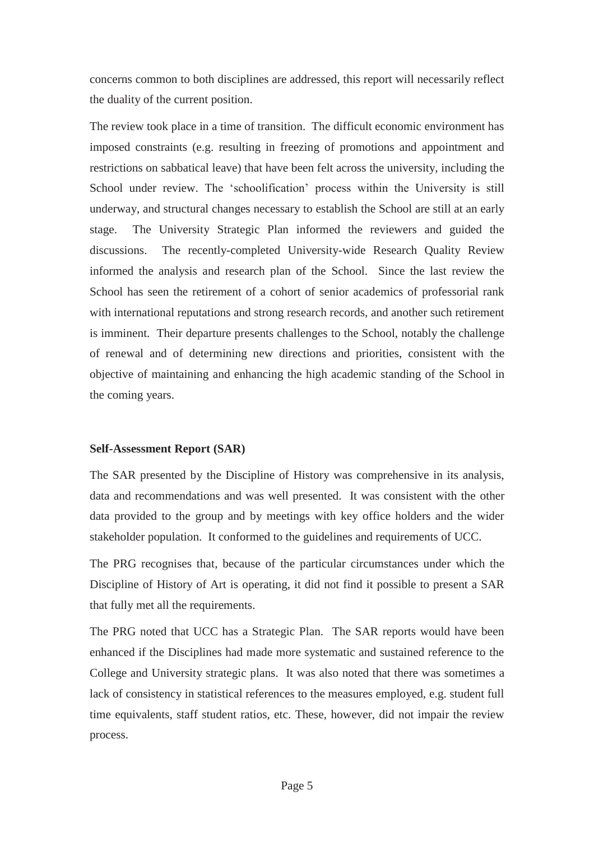concerns common to both disciplines are addressed, this report will necessarily reflect the duality of the current position.

The review took place in a time of transition. The difficult economic environment has imposed constraints (e.g. resulting in freezing of promotions and appointment and restrictions on sabbatical leave) that have been felt across the university, including the School under review. The 'schoolification' process within the University is still underway, and structural changes necessary to establish the School are still at an early stage. The University Strategic Plan informed the reviewers and guided the discussions. The recently-completed University-wide Research Quality Review informed the analysis and research plan of the School. Since the last review the School has seen the retirement of a cohort of senior academics of professorial rank with international reputations and strong research records, and another such retirement is imminent. Their departure presents challenges to the School, notably the challenge of renewal and of determining new directions and priorities, consistent with the objective of maintaining and enhancing the high academic standing of the School in the coming years.

#### **Self-Assessment Report (SAR)**

The SAR presented by the Discipline of History was comprehensive in its analysis, data and recommendations and was well presented. It was consistent with the other data provided to the group and by meetings with key office holders and the wider stakeholder population. It conformed to the guidelines and requirements of UCC.

The PRG recognises that, because of the particular circumstances under which the Discipline of History of Art is operating, it did not find it possible to present a SAR that fully met all the requirements.

The PRG noted that UCC has a Strategic Plan. The SAR reports would have been enhanced if the Disciplines had made more systematic and sustained reference to the College and University strategic plans. It was also noted that there was sometimes a lack of consistency in statistical references to the measures employed, e.g. student full time equivalents, staff student ratios, etc. These, however, did not impair the review process.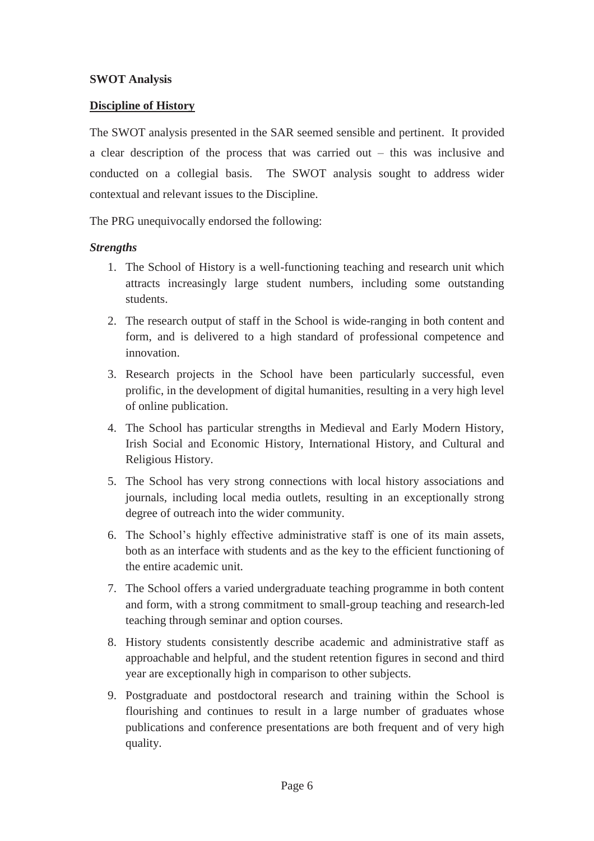#### **SWOT Analysis**

#### **Discipline of History**

The SWOT analysis presented in the SAR seemed sensible and pertinent. It provided a clear description of the process that was carried out – this was inclusive and conducted on a collegial basis. The SWOT analysis sought to address wider contextual and relevant issues to the Discipline.

The PRG unequivocally endorsed the following:

#### *Strengths*

- 1. The School of History is a well-functioning teaching and research unit which attracts increasingly large student numbers, including some outstanding students.
- 2. The research output of staff in the School is wide-ranging in both content and form, and is delivered to a high standard of professional competence and innovation.
- 3. Research projects in the School have been particularly successful, even prolific, in the development of digital humanities, resulting in a very high level of online publication.
- 4. The School has particular strengths in Medieval and Early Modern History, Irish Social and Economic History, International History, and Cultural and Religious History.
- 5. The School has very strong connections with local history associations and journals, including local media outlets, resulting in an exceptionally strong degree of outreach into the wider community.
- 6. The School's highly effective administrative staff is one of its main assets, both as an interface with students and as the key to the efficient functioning of the entire academic unit.
- 7. The School offers a varied undergraduate teaching programme in both content and form, with a strong commitment to small-group teaching and research-led teaching through seminar and option courses.
- 8. History students consistently describe academic and administrative staff as approachable and helpful, and the student retention figures in second and third year are exceptionally high in comparison to other subjects.
- 9. Postgraduate and postdoctoral research and training within the School is flourishing and continues to result in a large number of graduates whose publications and conference presentations are both frequent and of very high quality.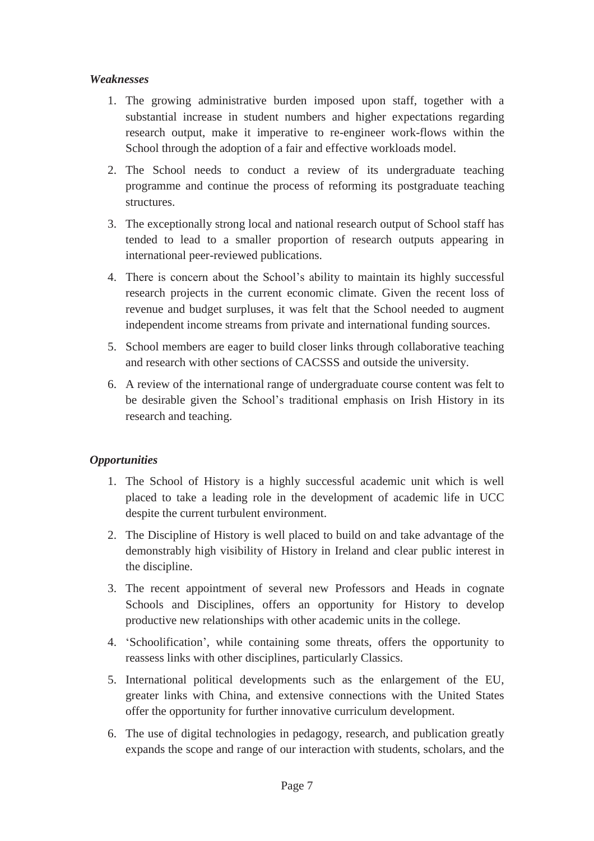## *Weaknesses*

- 1. The growing administrative burden imposed upon staff, together with a substantial increase in student numbers and higher expectations regarding research output, make it imperative to re-engineer work-flows within the School through the adoption of a fair and effective workloads model.
- 2. The School needs to conduct a review of its undergraduate teaching programme and continue the process of reforming its postgraduate teaching structures.
- 3. The exceptionally strong local and national research output of School staff has tended to lead to a smaller proportion of research outputs appearing in international peer-reviewed publications.
- 4. There is concern about the School's ability to maintain its highly successful research projects in the current economic climate. Given the recent loss of revenue and budget surpluses, it was felt that the School needed to augment independent income streams from private and international funding sources.
- 5. School members are eager to build closer links through collaborative teaching and research with other sections of CACSSS and outside the university.
- 6. A review of the international range of undergraduate course content was felt to be desirable given the School's traditional emphasis on Irish History in its research and teaching.

# *Opportunities*

- 1. The School of History is a highly successful academic unit which is well placed to take a leading role in the development of academic life in UCC despite the current turbulent environment.
- 2. The Discipline of History is well placed to build on and take advantage of the demonstrably high visibility of History in Ireland and clear public interest in the discipline.
- 3. The recent appointment of several new Professors and Heads in cognate Schools and Disciplines, offers an opportunity for History to develop productive new relationships with other academic units in the college.
- 4. 'Schoolification', while containing some threats, offers the opportunity to reassess links with other disciplines, particularly Classics.
- 5. International political developments such as the enlargement of the EU, greater links with China, and extensive connections with the United States offer the opportunity for further innovative curriculum development.
- 6. The use of digital technologies in pedagogy, research, and publication greatly expands the scope and range of our interaction with students, scholars, and the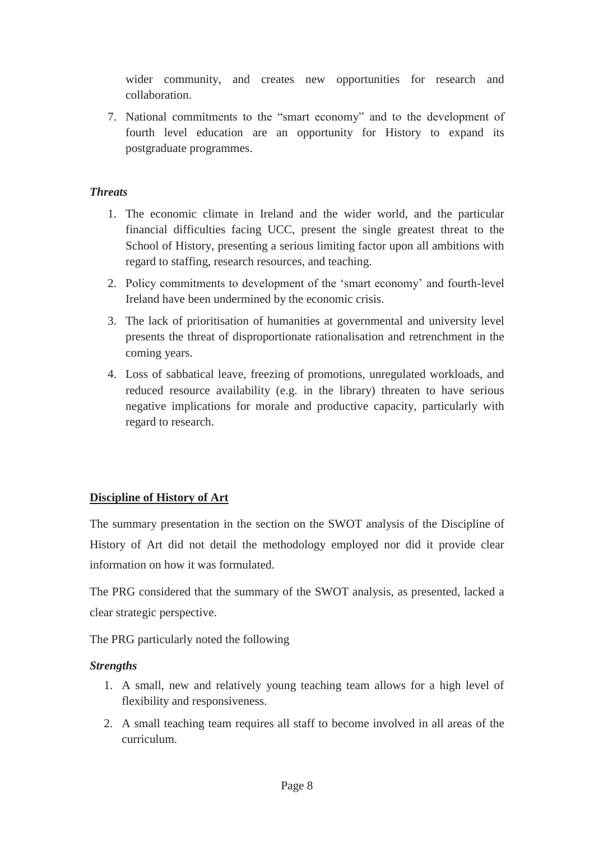wider community, and creates new opportunities for research and collaboration.

7. National commitments to the "smart economy" and to the development of fourth level education are an opportunity for History to expand its postgraduate programmes.

# *Threats*

- 1. The economic climate in Ireland and the wider world, and the particular financial difficulties facing UCC, present the single greatest threat to the School of History, presenting a serious limiting factor upon all ambitions with regard to staffing, research resources, and teaching.
- 2. Policy commitments to development of the 'smart economy' and fourth-level Ireland have been undermined by the economic crisis.
- 3. The lack of prioritisation of humanities at governmental and university level presents the threat of disproportionate rationalisation and retrenchment in the coming years.
- 4. Loss of sabbatical leave, freezing of promotions, unregulated workloads, and reduced resource availability (e.g. in the library) threaten to have serious negative implications for morale and productive capacity, particularly with regard to research.

# **Discipline of History of Art**

The summary presentation in the section on the SWOT analysis of the Discipline of History of Art did not detail the methodology employed nor did it provide clear information on how it was formulated.

The PRG considered that the summary of the SWOT analysis, as presented, lacked a clear strategic perspective.

The PRG particularly noted the following

# *Strengths*

- 1. A small, new and relatively young teaching team allows for a high level of flexibility and responsiveness.
- 2. A small teaching team requires all staff to become involved in all areas of the curriculum.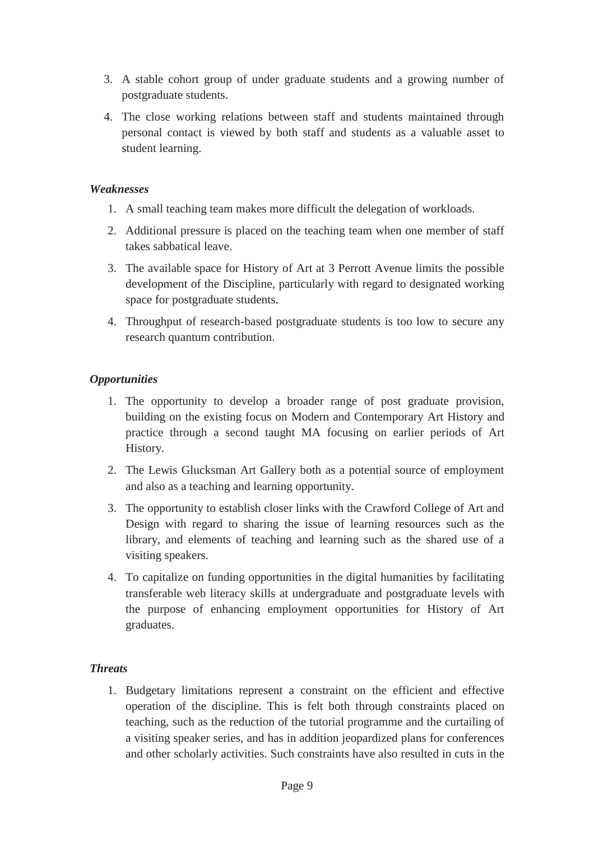- 3. A stable cohort group of under graduate students and a growing number of postgraduate students.
- 4. The close working relations between staff and students maintained through personal contact is viewed by both staff and students as a valuable asset to student learning.

## *Weaknesses*

- 1. A small teaching team makes more difficult the delegation of workloads.
- 2. Additional pressure is placed on the teaching team when one member of staff takes sabbatical leave.
- 3. The available space for History of Art at 3 Perrott Avenue limits the possible development of the Discipline, particularly with regard to designated working space for postgraduate students.
- 4. Throughput of research-based postgraduate students is too low to secure any research quantum contribution.

# *Opportunities*

- 1. The opportunity to develop a broader range of post graduate provision, building on the existing focus on Modern and Contemporary Art History and practice through a second taught MA focusing on earlier periods of Art History.
- 2. The Lewis Glucksman Art Gallery both as a potential source of employment and also as a teaching and learning opportunity.
- 3. The opportunity to establish closer links with the Crawford College of Art and Design with regard to sharing the issue of learning resources such as the library, and elements of teaching and learning such as the shared use of a visiting speakers.
- 4. To capitalize on funding opportunities in the digital humanities by facilitating transferable web literacy skills at undergraduate and postgraduate levels with the purpose of enhancing employment opportunities for History of Art graduates.

# *Threats*

1. Budgetary limitations represent a constraint on the efficient and effective operation of the discipline. This is felt both through constraints placed on teaching, such as the reduction of the tutorial programme and the curtailing of a visiting speaker series, and has in addition jeopardized plans for conferences and other scholarly activities. Such constraints have also resulted in cuts in the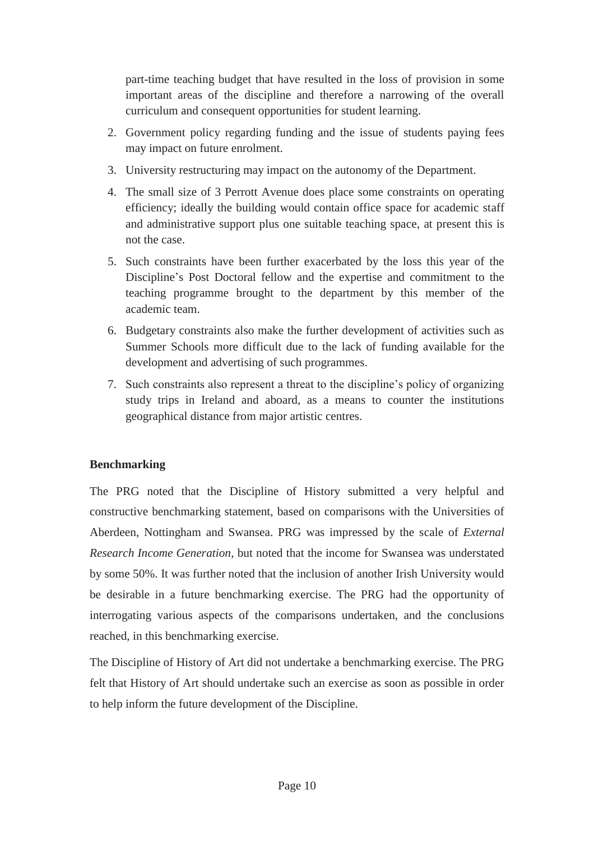part-time teaching budget that have resulted in the loss of provision in some important areas of the discipline and therefore a narrowing of the overall curriculum and consequent opportunities for student learning.

- 2. Government policy regarding funding and the issue of students paying fees may impact on future enrolment.
- 3. University restructuring may impact on the autonomy of the Department.
- 4. The small size of 3 Perrott Avenue does place some constraints on operating efficiency; ideally the building would contain office space for academic staff and administrative support plus one suitable teaching space, at present this is not the case.
- 5. Such constraints have been further exacerbated by the loss this year of the Discipline's Post Doctoral fellow and the expertise and commitment to the teaching programme brought to the department by this member of the academic team.
- 6. Budgetary constraints also make the further development of activities such as Summer Schools more difficult due to the lack of funding available for the development and advertising of such programmes.
- 7. Such constraints also represent a threat to the discipline's policy of organizing study trips in Ireland and aboard, as a means to counter the institutions geographical distance from major artistic centres.

# **Benchmarking**

The PRG noted that the Discipline of History submitted a very helpful and constructive benchmarking statement, based on comparisons with the Universities of Aberdeen, Nottingham and Swansea. PRG was impressed by the scale of *External Research Income Generation*, but noted that the income for Swansea was understated by some 50%. It was further noted that the inclusion of another Irish University would be desirable in a future benchmarking exercise. The PRG had the opportunity of interrogating various aspects of the comparisons undertaken, and the conclusions reached, in this benchmarking exercise.

The Discipline of History of Art did not undertake a benchmarking exercise. The PRG felt that History of Art should undertake such an exercise as soon as possible in order to help inform the future development of the Discipline.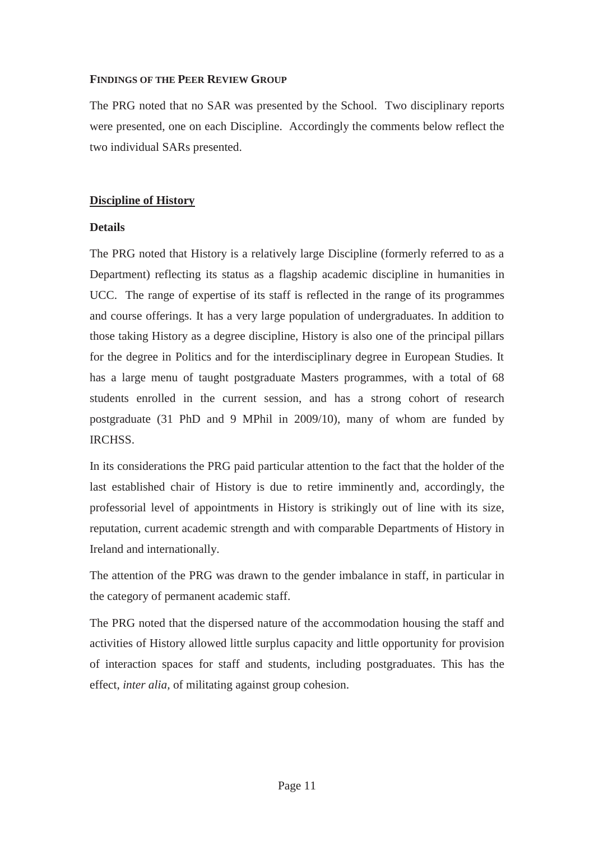#### **FINDINGS OF THE PEER REVIEW GROUP**

The PRG noted that no SAR was presented by the School. Two disciplinary reports were presented, one on each Discipline. Accordingly the comments below reflect the two individual SARs presented.

## **Discipline of History**

## **Details**

The PRG noted that History is a relatively large Discipline (formerly referred to as a Department) reflecting its status as a flagship academic discipline in humanities in UCC. The range of expertise of its staff is reflected in the range of its programmes and course offerings. It has a very large population of undergraduates. In addition to those taking History as a degree discipline, History is also one of the principal pillars for the degree in Politics and for the interdisciplinary degree in European Studies. It has a large menu of taught postgraduate Masters programmes, with a total of 68 students enrolled in the current session, and has a strong cohort of research postgraduate (31 PhD and 9 MPhil in 2009/10), many of whom are funded by IRCHSS.

In its considerations the PRG paid particular attention to the fact that the holder of the last established chair of History is due to retire imminently and, accordingly, the professorial level of appointments in History is strikingly out of line with its size, reputation, current academic strength and with comparable Departments of History in Ireland and internationally.

The attention of the PRG was drawn to the gender imbalance in staff, in particular in the category of permanent academic staff.

The PRG noted that the dispersed nature of the accommodation housing the staff and activities of History allowed little surplus capacity and little opportunity for provision of interaction spaces for staff and students, including postgraduates. This has the effect, *inter alia,* of militating against group cohesion.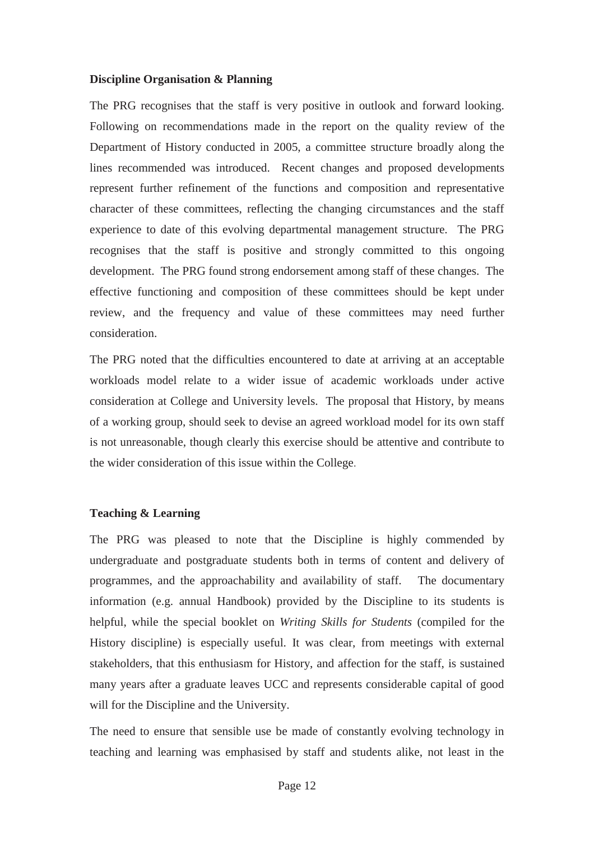#### **Discipline Organisation & Planning**

The PRG recognises that the staff is very positive in outlook and forward looking. Following on recommendations made in the report on the quality review of the Department of History conducted in 2005, a committee structure broadly along the lines recommended was introduced. Recent changes and proposed developments represent further refinement of the functions and composition and representative character of these committees, reflecting the changing circumstances and the staff experience to date of this evolving departmental management structure. The PRG recognises that the staff is positive and strongly committed to this ongoing development. The PRG found strong endorsement among staff of these changes. The effective functioning and composition of these committees should be kept under review, and the frequency and value of these committees may need further consideration.

The PRG noted that the difficulties encountered to date at arriving at an acceptable workloads model relate to a wider issue of academic workloads under active consideration at College and University levels. The proposal that History, by means of a working group, should seek to devise an agreed workload model for its own staff is not unreasonable, though clearly this exercise should be attentive and contribute to the wider consideration of this issue within the College.

#### **Teaching & Learning**

The PRG was pleased to note that the Discipline is highly commended by undergraduate and postgraduate students both in terms of content and delivery of programmes, and the approachability and availability of staff. The documentary information (e.g. annual Handbook) provided by the Discipline to its students is helpful, while the special booklet on *Writing Skills for Students* (compiled for the History discipline) is especially useful*.* It was clear, from meetings with external stakeholders, that this enthusiasm for History, and affection for the staff, is sustained many years after a graduate leaves UCC and represents considerable capital of good will for the Discipline and the University.

The need to ensure that sensible use be made of constantly evolving technology in teaching and learning was emphasised by staff and students alike, not least in the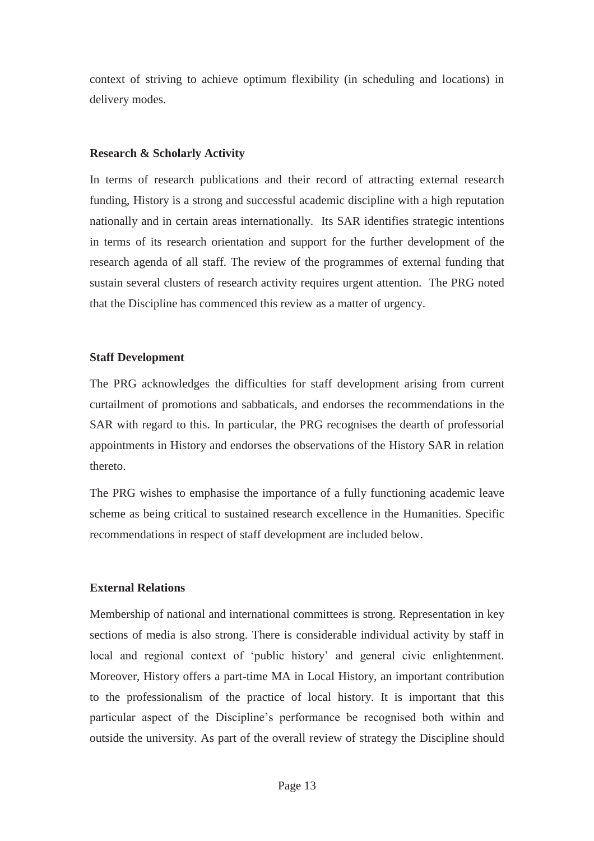context of striving to achieve optimum flexibility (in scheduling and locations) in delivery modes.

#### **Research & Scholarly Activity**

In terms of research publications and their record of attracting external research funding, History is a strong and successful academic discipline with a high reputation nationally and in certain areas internationally. Its SAR identifies strategic intentions in terms of its research orientation and support for the further development of the research agenda of all staff. The review of the programmes of external funding that sustain several clusters of research activity requires urgent attention. The PRG noted that the Discipline has commenced this review as a matter of urgency.

#### **Staff Development**

The PRG acknowledges the difficulties for staff development arising from current curtailment of promotions and sabbaticals, and endorses the recommendations in the SAR with regard to this. In particular, the PRG recognises the dearth of professorial appointments in History and endorses the observations of the History SAR in relation thereto.

The PRG wishes to emphasise the importance of a fully functioning academic leave scheme as being critical to sustained research excellence in the Humanities. Specific recommendations in respect of staff development are included below.

## **External Relations**

Membership of national and international committees is strong. Representation in key sections of media is also strong. There is considerable individual activity by staff in local and regional context of 'public history' and general civic enlightenment. Moreover, History offers a part-time MA in Local History, an important contribution to the professionalism of the practice of local history. It is important that this particular aspect of the Discipline's performance be recognised both within and outside the university. As part of the overall review of strategy the Discipline should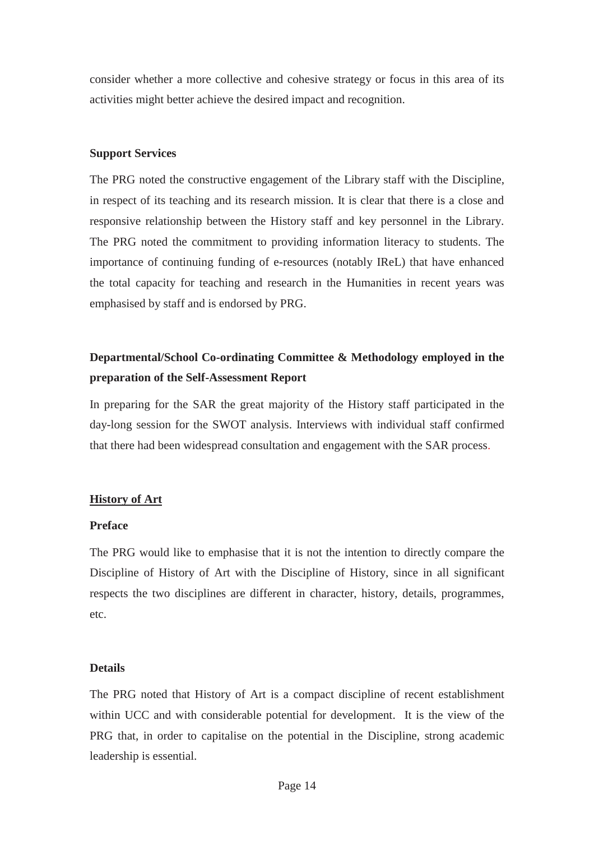consider whether a more collective and cohesive strategy or focus in this area of its activities might better achieve the desired impact and recognition.

#### **Support Services**

The PRG noted the constructive engagement of the Library staff with the Discipline, in respect of its teaching and its research mission. It is clear that there is a close and responsive relationship between the History staff and key personnel in the Library. The PRG noted the commitment to providing information literacy to students. The importance of continuing funding of e-resources (notably IReL) that have enhanced the total capacity for teaching and research in the Humanities in recent years was emphasised by staff and is endorsed by PRG.

# **Departmental/School Co-ordinating Committee & Methodology employed in the preparation of the Self-Assessment Report**

In preparing for the SAR the great majority of the History staff participated in the day-long session for the SWOT analysis. Interviews with individual staff confirmed that there had been widespread consultation and engagement with the SAR process.

## **History of Art**

## **Preface**

The PRG would like to emphasise that it is not the intention to directly compare the Discipline of History of Art with the Discipline of History, since in all significant respects the two disciplines are different in character, history, details, programmes, etc.

## **Details**

The PRG noted that History of Art is a compact discipline of recent establishment within UCC and with considerable potential for development. It is the view of the PRG that, in order to capitalise on the potential in the Discipline, strong academic leadership is essential.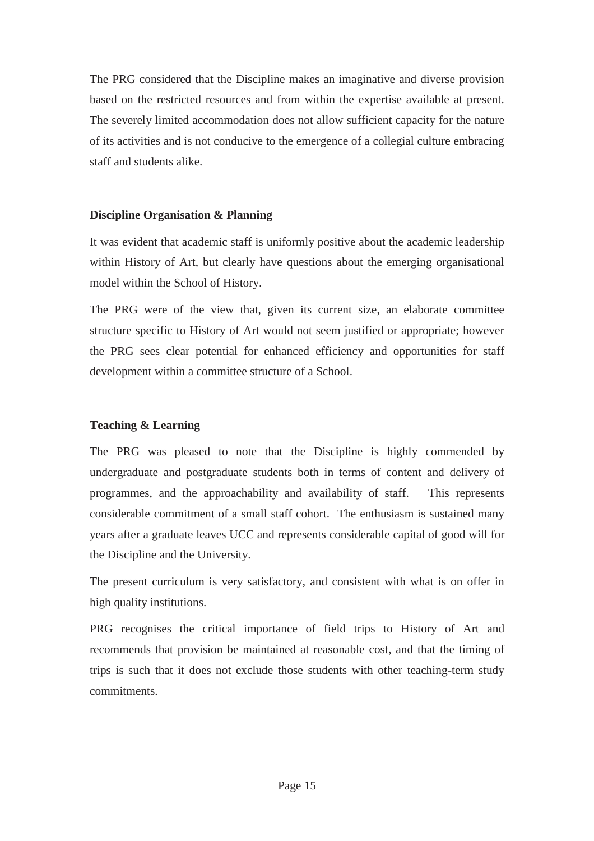The PRG considered that the Discipline makes an imaginative and diverse provision based on the restricted resources and from within the expertise available at present. The severely limited accommodation does not allow sufficient capacity for the nature of its activities and is not conducive to the emergence of a collegial culture embracing staff and students alike.

## **Discipline Organisation & Planning**

It was evident that academic staff is uniformly positive about the academic leadership within History of Art, but clearly have questions about the emerging organisational model within the School of History.

The PRG were of the view that, given its current size, an elaborate committee structure specific to History of Art would not seem justified or appropriate; however the PRG sees clear potential for enhanced efficiency and opportunities for staff development within a committee structure of a School.

## **Teaching & Learning**

The PRG was pleased to note that the Discipline is highly commended by undergraduate and postgraduate students both in terms of content and delivery of programmes, and the approachability and availability of staff. This represents considerable commitment of a small staff cohort. The enthusiasm is sustained many years after a graduate leaves UCC and represents considerable capital of good will for the Discipline and the University.

The present curriculum is very satisfactory, and consistent with what is on offer in high quality institutions.

PRG recognises the critical importance of field trips to History of Art and recommends that provision be maintained at reasonable cost, and that the timing of trips is such that it does not exclude those students with other teaching-term study commitments.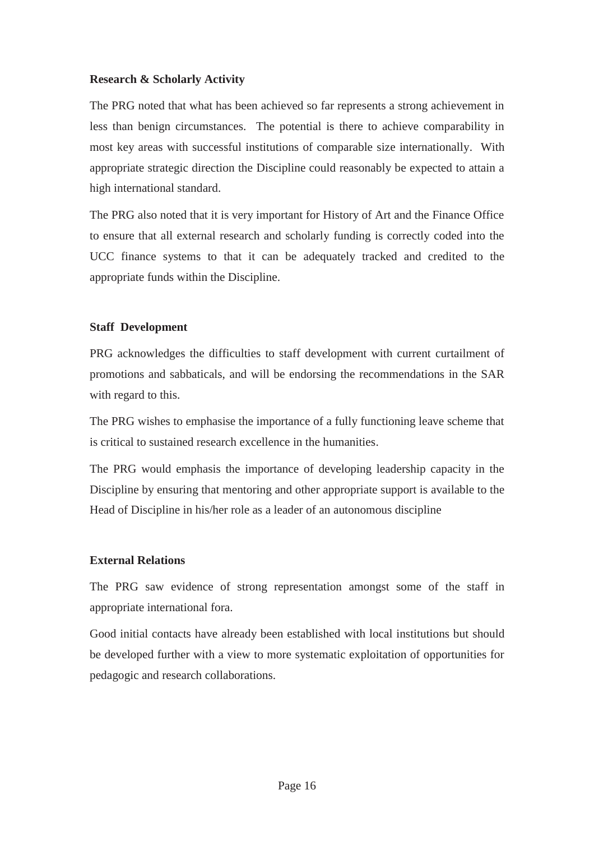## **Research & Scholarly Activity**

The PRG noted that what has been achieved so far represents a strong achievement in less than benign circumstances. The potential is there to achieve comparability in most key areas with successful institutions of comparable size internationally. With appropriate strategic direction the Discipline could reasonably be expected to attain a high international standard.

The PRG also noted that it is very important for History of Art and the Finance Office to ensure that all external research and scholarly funding is correctly coded into the UCC finance systems to that it can be adequately tracked and credited to the appropriate funds within the Discipline.

## **Staff Development**

PRG acknowledges the difficulties to staff development with current curtailment of promotions and sabbaticals, and will be endorsing the recommendations in the SAR with regard to this.

The PRG wishes to emphasise the importance of a fully functioning leave scheme that is critical to sustained research excellence in the humanities.

The PRG would emphasis the importance of developing leadership capacity in the Discipline by ensuring that mentoring and other appropriate support is available to the Head of Discipline in his/her role as a leader of an autonomous discipline

## **External Relations**

The PRG saw evidence of strong representation amongst some of the staff in appropriate international fora.

Good initial contacts have already been established with local institutions but should be developed further with a view to more systematic exploitation of opportunities for pedagogic and research collaborations.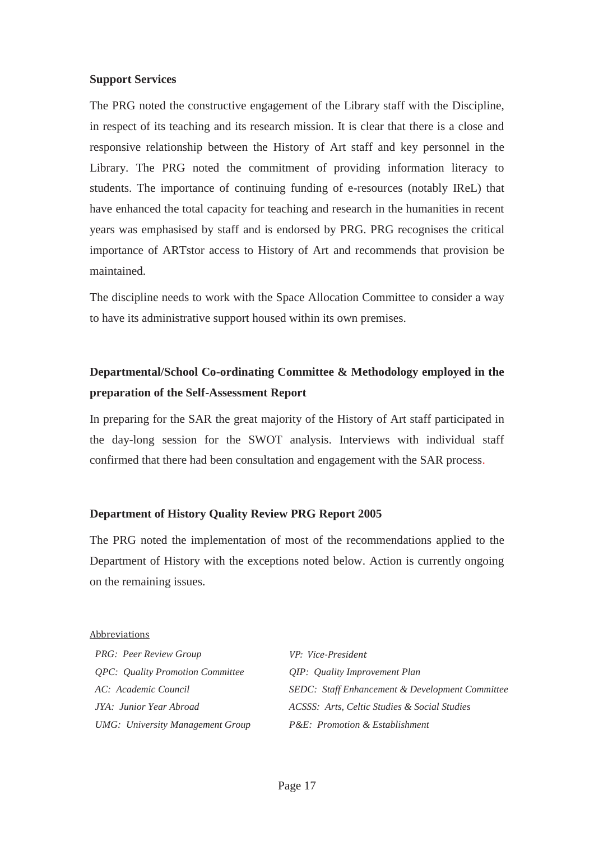#### **Support Services**

The PRG noted the constructive engagement of the Library staff with the Discipline, in respect of its teaching and its research mission. It is clear that there is a close and responsive relationship between the History of Art staff and key personnel in the Library. The PRG noted the commitment of providing information literacy to students. The importance of continuing funding of e-resources (notably IReL) that have enhanced the total capacity for teaching and research in the humanities in recent years was emphasised by staff and is endorsed by PRG. PRG recognises the critical importance of ARTstor access to History of Art and recommends that provision be maintained.

The discipline needs to work with the Space Allocation Committee to consider a way to have its administrative support housed within its own premises.

# **Departmental/School Co-ordinating Committee & Methodology employed in the preparation of the Self-Assessment Report**

In preparing for the SAR the great majority of the History of Art staff participated in the day-long session for the SWOT analysis. Interviews with individual staff confirmed that there had been consultation and engagement with the SAR process.

#### **Department of History Quality Review PRG Report 2005**

The PRG noted the implementation of most of the recommendations applied to the Department of History with the exceptions noted below. Action is currently ongoing on the remaining issues.

#### Abbreviations

| PRG: Peer Review Group                         | VP: Vice-President                                     |
|------------------------------------------------|--------------------------------------------------------|
| <i><b>OPC:</b> Quality Promotion Committee</i> | QIP: Quality Improvement Plan                          |
| AC: Academic Council                           | <b>SEDC:</b> Staff Enhancement & Development Committee |
| JYA: Junior Year Abroad                        | ACSSS: Arts, Celtic Studies & Social Studies           |
| <b>UMG:</b> University Management Group        | <i>P&amp;E: Promotion &amp; Establishment</i>          |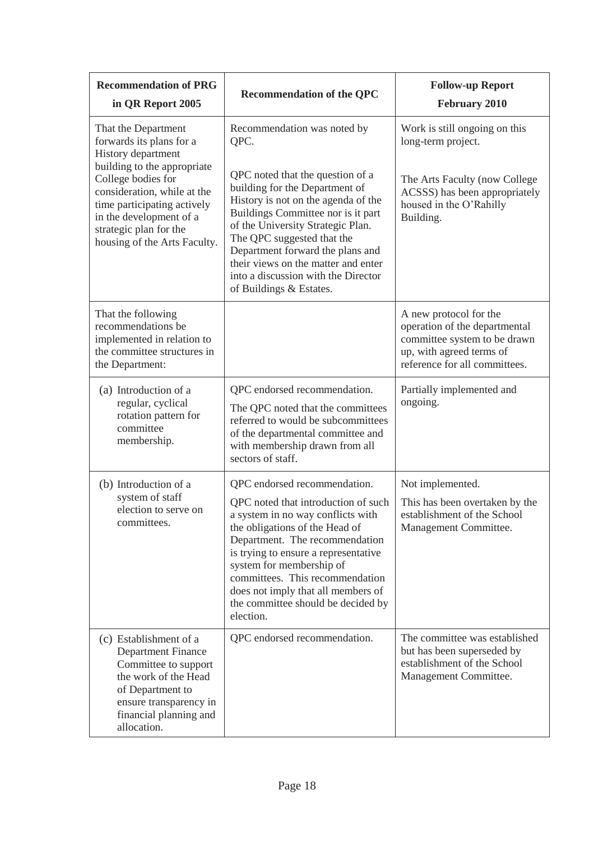| <b>Recommendation of PRG</b><br>in QR Report 2005                                                                                                                                                    | <b>Recommendation of the QPC</b>                                                                                                                                                                                                                                                                                                                                             | <b>Follow-up Report</b><br><b>February 2010</b>                                                                                                      |
|------------------------------------------------------------------------------------------------------------------------------------------------------------------------------------------------------|------------------------------------------------------------------------------------------------------------------------------------------------------------------------------------------------------------------------------------------------------------------------------------------------------------------------------------------------------------------------------|------------------------------------------------------------------------------------------------------------------------------------------------------|
| That the Department<br>forwards its plans for a<br>History department                                                                                                                                | Recommendation was noted by<br>QPC.                                                                                                                                                                                                                                                                                                                                          | Work is still ongoing on this<br>long-term project.                                                                                                  |
| building to the appropriate<br>College bodies for<br>consideration, while at the<br>time participating actively<br>in the development of a<br>strategic plan for the<br>housing of the Arts Faculty. | QPC noted that the question of a<br>building for the Department of<br>History is not on the agenda of the<br>Buildings Committee nor is it part<br>of the University Strategic Plan.<br>The QPC suggested that the<br>Department forward the plans and<br>their views on the matter and enter<br>into a discussion with the Director<br>of Buildings & Estates.              | The Arts Faculty (now College<br>ACSSS) has been appropriately<br>housed in the O'Rahilly<br>Building.                                               |
| That the following<br>recommendations be<br>implemented in relation to<br>the committee structures in<br>the Department:                                                                             |                                                                                                                                                                                                                                                                                                                                                                              | A new protocol for the<br>operation of the departmental<br>committee system to be drawn<br>up, with agreed terms of<br>reference for all committees. |
| (a) Introduction of a<br>regular, cyclical<br>rotation pattern for<br>committee<br>membership.                                                                                                       | QPC endorsed recommendation.<br>The QPC noted that the committees<br>referred to would be subcommittees<br>of the departmental committee and<br>with membership drawn from all<br>sectors of staff.                                                                                                                                                                          | Partially implemented and<br>ongoing.                                                                                                                |
| (b) Introduction of a<br>system of staff<br>election to serve on<br>committees.                                                                                                                      | QPC endorsed recommendation.<br>QPC noted that introduction of such<br>a system in no way conflicts with<br>the obligations of the Head of<br>Department. The recommendation<br>is trying to ensure a representative<br>system for membership of<br>committees. This recommendation<br>does not imply that all members of<br>the committee should be decided by<br>election. | Not implemented.<br>This has been overtaken by the<br>establishment of the School<br>Management Committee.                                           |
| (c) Establishment of a<br><b>Department Finance</b><br>Committee to support<br>the work of the Head<br>of Department to<br>ensure transparency in<br>financial planning and<br>allocation.           | QPC endorsed recommendation.                                                                                                                                                                                                                                                                                                                                                 | The committee was established<br>but has been superseded by<br>establishment of the School<br>Management Committee.                                  |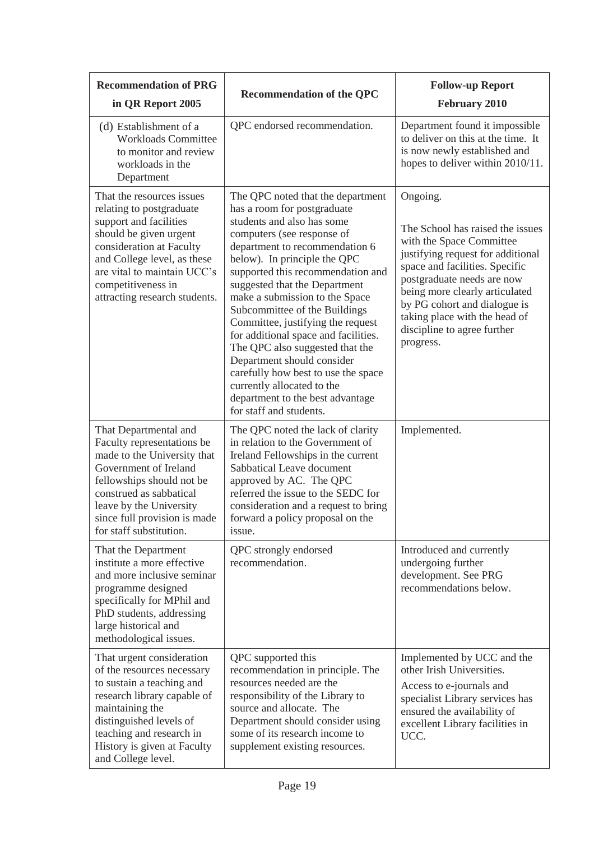| <b>Recommendation of PRG</b><br>in QR Report 2005                                                                                                                                                                                                          | <b>Recommendation of the QPC</b>                                                                                                                                                                                                                                                                                                                                                                                                                                                                                                                                                                                          | <b>Follow-up Report</b><br><b>February 2010</b>                                                                                                                                                                                                                                                                              |
|------------------------------------------------------------------------------------------------------------------------------------------------------------------------------------------------------------------------------------------------------------|---------------------------------------------------------------------------------------------------------------------------------------------------------------------------------------------------------------------------------------------------------------------------------------------------------------------------------------------------------------------------------------------------------------------------------------------------------------------------------------------------------------------------------------------------------------------------------------------------------------------------|------------------------------------------------------------------------------------------------------------------------------------------------------------------------------------------------------------------------------------------------------------------------------------------------------------------------------|
| (d) Establishment of a<br><b>Workloads Committee</b><br>to monitor and review<br>workloads in the<br>Department                                                                                                                                            | QPC endorsed recommendation.                                                                                                                                                                                                                                                                                                                                                                                                                                                                                                                                                                                              | Department found it impossible<br>to deliver on this at the time. It<br>is now newly established and<br>hopes to deliver within 2010/11.                                                                                                                                                                                     |
| That the resources issues<br>relating to postgraduate<br>support and facilities<br>should be given urgent<br>consideration at Faculty<br>and College level, as these<br>are vital to maintain UCC's<br>competitiveness in<br>attracting research students. | The QPC noted that the department<br>has a room for postgraduate<br>students and also has some<br>computers (see response of<br>department to recommendation 6<br>below). In principle the QPC<br>supported this recommendation and<br>suggested that the Department<br>make a submission to the Space<br>Subcommittee of the Buildings<br>Committee, justifying the request<br>for additional space and facilities.<br>The QPC also suggested that the<br>Department should consider<br>carefully how best to use the space<br>currently allocated to the<br>department to the best advantage<br>for staff and students. | Ongoing.<br>The School has raised the issues<br>with the Space Committee<br>justifying request for additional<br>space and facilities. Specific<br>postgraduate needs are now<br>being more clearly articulated<br>by PG cohort and dialogue is<br>taking place with the head of<br>discipline to agree further<br>progress. |
| That Departmental and<br>Faculty representations be<br>made to the University that<br>Government of Ireland<br>fellowships should not be<br>construed as sabbatical<br>leave by the University<br>since full provision is made<br>for staff substitution.  | The QPC noted the lack of clarity<br>in relation to the Government of<br>Ireland Fellowships in the current<br>Sabbatical Leave document<br>approved by AC. The QPC<br>referred the issue to the SEDC for<br>consideration and a request to bring<br>forward a policy proposal on the<br>issue.                                                                                                                                                                                                                                                                                                                           | Implemented.                                                                                                                                                                                                                                                                                                                 |
| That the Department<br>institute a more effective<br>and more inclusive seminar<br>programme designed<br>specifically for MPhil and<br>PhD students, addressing<br>large historical and<br>methodological issues.                                          | QPC strongly endorsed<br>recommendation.                                                                                                                                                                                                                                                                                                                                                                                                                                                                                                                                                                                  | Introduced and currently<br>undergoing further<br>development. See PRG<br>recommendations below.                                                                                                                                                                                                                             |
| That urgent consideration<br>of the resources necessary<br>to sustain a teaching and<br>research library capable of<br>maintaining the<br>distinguished levels of<br>teaching and research in<br>History is given at Faculty<br>and College level.         | QPC supported this<br>recommendation in principle. The<br>resources needed are the<br>responsibility of the Library to<br>source and allocate. The<br>Department should consider using<br>some of its research income to<br>supplement existing resources.                                                                                                                                                                                                                                                                                                                                                                | Implemented by UCC and the<br>other Irish Universities.<br>Access to e-journals and<br>specialist Library services has<br>ensured the availability of<br>excellent Library facilities in<br>UCC.                                                                                                                             |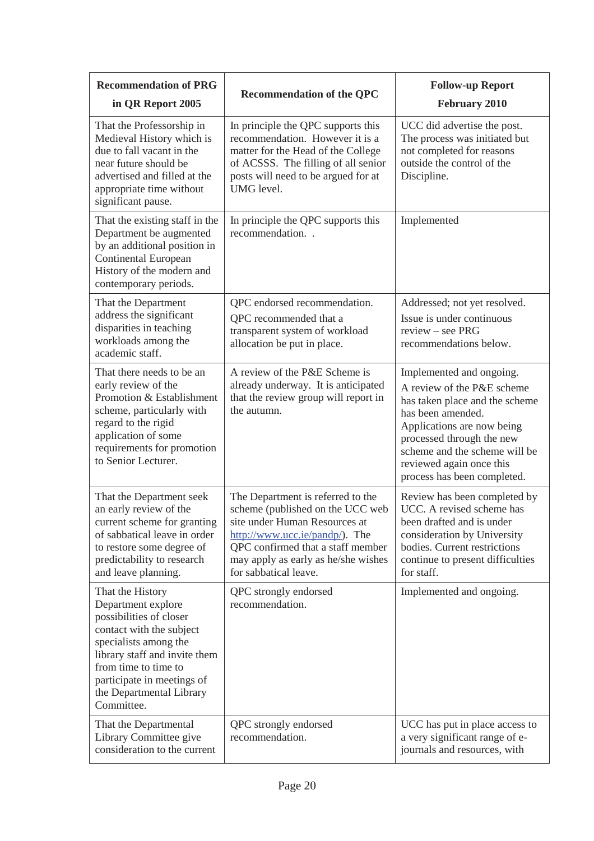| <b>Recommendation of PRG</b><br>in QR Report 2005                                                                                                                                                                                                       | <b>Recommendation of the QPC</b>                                                                                                                                                                                                                         | <b>Follow-up Report</b><br><b>February 2010</b>                                                                                                                                                                                                                      |
|---------------------------------------------------------------------------------------------------------------------------------------------------------------------------------------------------------------------------------------------------------|----------------------------------------------------------------------------------------------------------------------------------------------------------------------------------------------------------------------------------------------------------|----------------------------------------------------------------------------------------------------------------------------------------------------------------------------------------------------------------------------------------------------------------------|
| That the Professorship in<br>Medieval History which is<br>due to fall vacant in the<br>near future should be<br>advertised and filled at the<br>appropriate time without<br>significant pause.                                                          | In principle the QPC supports this<br>recommendation. However it is a<br>matter for the Head of the College<br>of ACSSS. The filling of all senior<br>posts will need to be argued for at<br>UMG level.                                                  | UCC did advertise the post.<br>The process was initiated but<br>not completed for reasons<br>outside the control of the<br>Discipline.                                                                                                                               |
| That the existing staff in the<br>Department be augmented<br>by an additional position in<br><b>Continental European</b><br>History of the modern and<br>contemporary periods.                                                                          | In principle the QPC supports this<br>recommendation                                                                                                                                                                                                     | Implemented                                                                                                                                                                                                                                                          |
| That the Department<br>address the significant<br>disparities in teaching<br>workloads among the<br>academic staff.                                                                                                                                     | QPC endorsed recommendation.<br>QPC recommended that a<br>transparent system of workload<br>allocation be put in place.                                                                                                                                  | Addressed; not yet resolved.<br>Issue is under continuous<br>review - see PRG<br>recommendations below.                                                                                                                                                              |
| That there needs to be an<br>early review of the<br>Promotion & Establishment<br>scheme, particularly with<br>regard to the rigid<br>application of some<br>requirements for promotion<br>to Senior Lecturer.                                           | A review of the P&E Scheme is<br>already underway. It is anticipated<br>that the review group will report in<br>the autumn.                                                                                                                              | Implemented and ongoing.<br>A review of the P&E scheme<br>has taken place and the scheme<br>has been amended.<br>Applications are now being<br>processed through the new<br>scheme and the scheme will be<br>reviewed again once this<br>process has been completed. |
| That the Department seek<br>an early review of the<br>current scheme for granting<br>of sabbatical leave in order<br>to restore some degree of<br>predictability to research<br>and leave planning.                                                     | The Department is referred to the<br>scheme (published on the UCC web<br>site under Human Resources at<br>$\frac{http://www.ucc.ie/panelp/}{$ . The<br>QPC confirmed that a staff member<br>may apply as early as he/she wishes<br>for sabbatical leave. | Review has been completed by<br>UCC. A revised scheme has<br>been drafted and is under<br>consideration by University<br>bodies. Current restrictions<br>continue to present difficulties<br>for staff.                                                              |
| That the History<br>Department explore<br>possibilities of closer<br>contact with the subject<br>specialists among the<br>library staff and invite them<br>from time to time to<br>participate in meetings of<br>the Departmental Library<br>Committee. | QPC strongly endorsed<br>recommendation.                                                                                                                                                                                                                 | Implemented and ongoing.                                                                                                                                                                                                                                             |
| That the Departmental<br>Library Committee give<br>consideration to the current                                                                                                                                                                         | QPC strongly endorsed<br>recommendation.                                                                                                                                                                                                                 | UCC has put in place access to<br>a very significant range of e-<br>journals and resources, with                                                                                                                                                                     |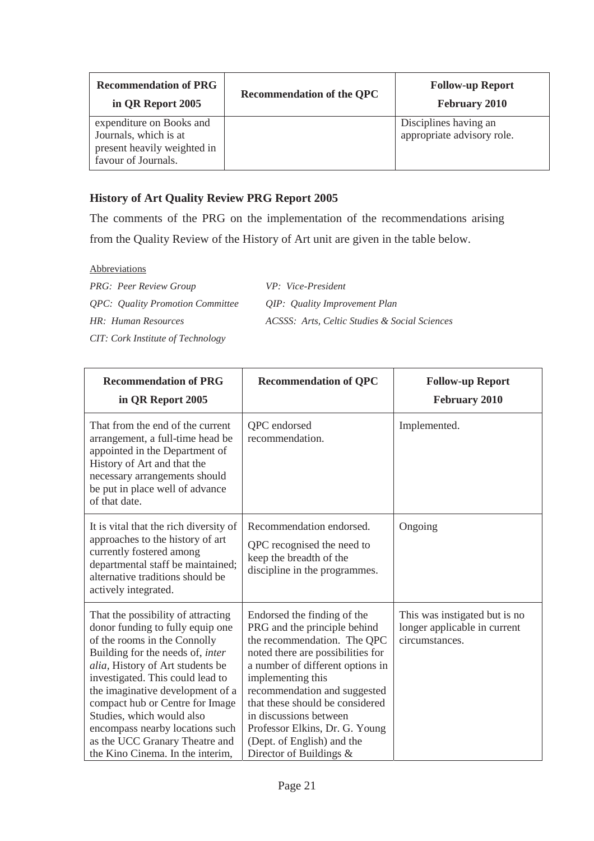| <b>Recommendation of PRG</b><br>in QR Report 2005                                                       | <b>Recommendation of the QPC</b> | <b>Follow-up Report</b><br><b>February 2010</b>     |
|---------------------------------------------------------------------------------------------------------|----------------------------------|-----------------------------------------------------|
| expenditure on Books and<br>Journals, which is at<br>present heavily weighted in<br>favour of Journals. |                                  | Disciplines having an<br>appropriate advisory role. |

# **History of Art Quality Review PRG Report 2005**

The comments of the PRG on the implementation of the recommendations arising from the Quality Review of the History of Art unit are given in the table below.

**Abbreviations** 

| <b>PRG: Peer Review Group</b>                  | VP: Vice-President                            |
|------------------------------------------------|-----------------------------------------------|
| <i><b>OPC:</b> Quality Promotion Committee</i> | QIP: Quality Improvement Plan                 |
| HR: Human Resources                            | ACSSS: Arts, Celtic Studies & Social Sciences |

*CIT: Cork Institute of Technology* 

| <b>Recommendation of PRG</b><br>in QR Report 2005                                                                                                                                                                                                                                                                                                                                                                               | <b>Recommendation of QPC</b>                                                                                                                                                                                                                                                                                                                                                     | <b>Follow-up Report</b><br><b>February 2010</b>                                 |
|---------------------------------------------------------------------------------------------------------------------------------------------------------------------------------------------------------------------------------------------------------------------------------------------------------------------------------------------------------------------------------------------------------------------------------|----------------------------------------------------------------------------------------------------------------------------------------------------------------------------------------------------------------------------------------------------------------------------------------------------------------------------------------------------------------------------------|---------------------------------------------------------------------------------|
| That from the end of the current<br>arrangement, a full-time head be<br>appointed in the Department of<br>History of Art and that the<br>necessary arrangements should<br>be put in place well of advance<br>of that date.                                                                                                                                                                                                      | QPC endorsed<br>recommendation.                                                                                                                                                                                                                                                                                                                                                  | Implemented.                                                                    |
| It is vital that the rich diversity of<br>approaches to the history of art<br>currently fostered among<br>departmental staff be maintained;<br>alternative traditions should be<br>actively integrated.                                                                                                                                                                                                                         | Recommendation endorsed.<br>QPC recognised the need to<br>keep the breadth of the<br>discipline in the programmes.                                                                                                                                                                                                                                                               | Ongoing                                                                         |
| That the possibility of attracting<br>donor funding to fully equip one<br>of the rooms in the Connolly<br>Building for the needs of, inter<br>alia, History of Art students be<br>investigated. This could lead to<br>the imaginative development of a<br>compact hub or Centre for Image<br>Studies, which would also<br>encompass nearby locations such<br>as the UCC Granary Theatre and<br>the Kino Cinema. In the interim, | Endorsed the finding of the<br>PRG and the principle behind<br>the recommendation. The QPC<br>noted there are possibilities for<br>a number of different options in<br>implementing this<br>recommendation and suggested<br>that these should be considered<br>in discussions between<br>Professor Elkins, Dr. G. Young<br>(Dept. of English) and the<br>Director of Buildings & | This was instigated but is no<br>longer applicable in current<br>circumstances. |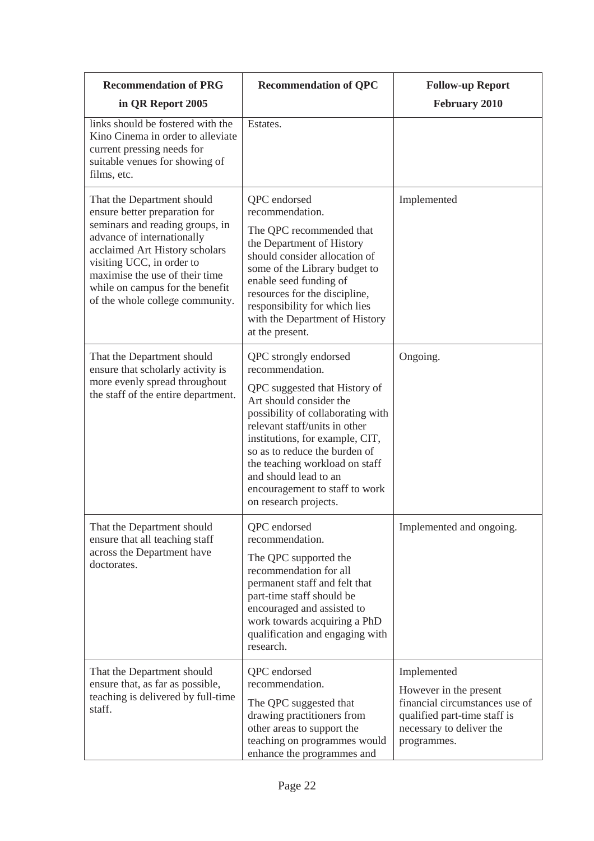| <b>Recommendation of PRG</b>                                                                                                                                                                                                                                                                        | <b>Recommendation of QPC</b>                                                                                                                                                                                                                                                                                                                                         | <b>Follow-up Report</b>                                                                                                                            |
|-----------------------------------------------------------------------------------------------------------------------------------------------------------------------------------------------------------------------------------------------------------------------------------------------------|----------------------------------------------------------------------------------------------------------------------------------------------------------------------------------------------------------------------------------------------------------------------------------------------------------------------------------------------------------------------|----------------------------------------------------------------------------------------------------------------------------------------------------|
| in QR Report 2005                                                                                                                                                                                                                                                                                   |                                                                                                                                                                                                                                                                                                                                                                      | <b>February 2010</b>                                                                                                                               |
| links should be fostered with the<br>Kino Cinema in order to alleviate<br>current pressing needs for<br>suitable venues for showing of<br>films, etc.                                                                                                                                               | Estates.                                                                                                                                                                                                                                                                                                                                                             |                                                                                                                                                    |
| That the Department should<br>ensure better preparation for<br>seminars and reading groups, in<br>advance of internationally<br>acclaimed Art History scholars<br>visiting UCC, in order to<br>maximise the use of their time<br>while on campus for the benefit<br>of the whole college community. | QPC endorsed<br>recommendation.<br>The QPC recommended that<br>the Department of History<br>should consider allocation of<br>some of the Library budget to<br>enable seed funding of<br>resources for the discipline,<br>responsibility for which lies<br>with the Department of History<br>at the present.                                                          | Implemented                                                                                                                                        |
| That the Department should<br>ensure that scholarly activity is<br>more evenly spread throughout<br>the staff of the entire department.                                                                                                                                                             | QPC strongly endorsed<br>recommendation.<br>QPC suggested that History of<br>Art should consider the<br>possibility of collaborating with<br>relevant staff/units in other<br>institutions, for example, CIT,<br>so as to reduce the burden of<br>the teaching workload on staff<br>and should lead to an<br>encouragement to staff to work<br>on research projects. | Ongoing.                                                                                                                                           |
| That the Department should<br>ensure that all teaching staff<br>across the Department have<br>doctorates.                                                                                                                                                                                           | QPC endorsed<br>recommendation.<br>The QPC supported the<br>recommendation for all<br>permanent staff and felt that<br>part-time staff should be<br>encouraged and assisted to<br>work towards acquiring a PhD<br>qualification and engaging with<br>research.                                                                                                       | Implemented and ongoing.                                                                                                                           |
| That the Department should<br>ensure that, as far as possible,<br>teaching is delivered by full-time<br>staff.                                                                                                                                                                                      | QPC endorsed<br>recommendation.<br>The QPC suggested that<br>drawing practitioners from<br>other areas to support the<br>teaching on programmes would<br>enhance the programmes and                                                                                                                                                                                  | Implemented<br>However in the present<br>financial circumstances use of<br>qualified part-time staff is<br>necessary to deliver the<br>programmes. |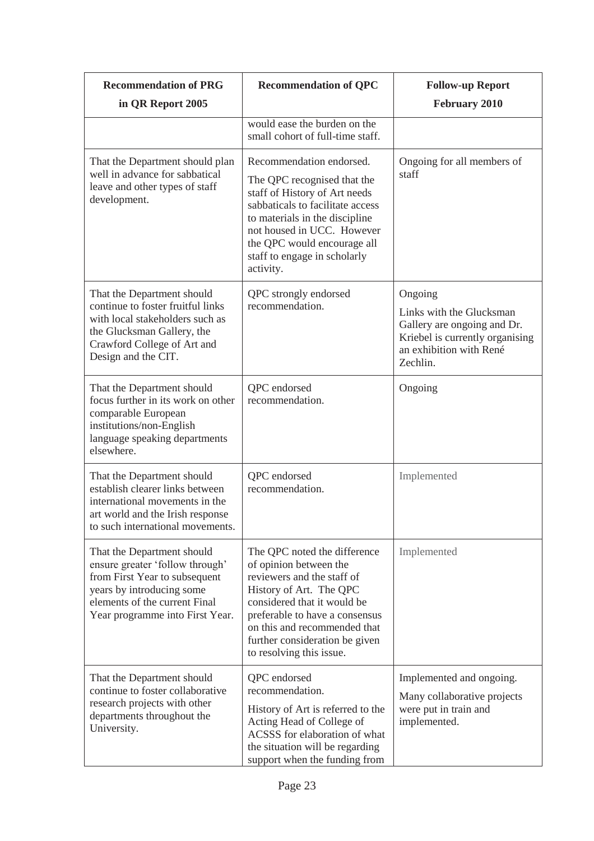| <b>Recommendation of PRG</b>                                                                                                                                                                    | <b>Recommendation of QPC</b>                                                                                                                                                                                                                                                   | <b>Follow-up Report</b>                                                                                                                      |
|-------------------------------------------------------------------------------------------------------------------------------------------------------------------------------------------------|--------------------------------------------------------------------------------------------------------------------------------------------------------------------------------------------------------------------------------------------------------------------------------|----------------------------------------------------------------------------------------------------------------------------------------------|
| in QR Report 2005                                                                                                                                                                               |                                                                                                                                                                                                                                                                                | <b>February 2010</b>                                                                                                                         |
|                                                                                                                                                                                                 | would ease the burden on the<br>small cohort of full-time staff.                                                                                                                                                                                                               |                                                                                                                                              |
| That the Department should plan<br>well in advance for sabbatical<br>leave and other types of staff<br>development.                                                                             | Recommendation endorsed.<br>The QPC recognised that the<br>staff of History of Art needs<br>sabbaticals to facilitate access<br>to materials in the discipline<br>not housed in UCC. However<br>the QPC would encourage all<br>staff to engage in scholarly<br>activity.       | Ongoing for all members of<br>staff                                                                                                          |
| That the Department should<br>continue to foster fruitful links<br>with local stakeholders such as<br>the Glucksman Gallery, the<br>Crawford College of Art and<br>Design and the CIT.          | QPC strongly endorsed<br>recommendation.                                                                                                                                                                                                                                       | Ongoing<br>Links with the Glucksman<br>Gallery are ongoing and Dr.<br>Kriebel is currently organising<br>an exhibition with René<br>Zechlin. |
| That the Department should<br>focus further in its work on other<br>comparable European<br>institutions/non-English<br>language speaking departments<br>elsewhere.                              | QPC endorsed<br>recommendation.                                                                                                                                                                                                                                                | Ongoing                                                                                                                                      |
| That the Department should<br>establish clearer links between<br>international movements in the<br>art world and the Irish response<br>to such international movements.                         | QPC endorsed<br>recommendation.                                                                                                                                                                                                                                                | Implemented                                                                                                                                  |
| That the Department should<br>ensure greater 'follow through'<br>from First Year to subsequent<br>years by introducing some<br>elements of the current Final<br>Year programme into First Year. | The QPC noted the difference<br>of opinion between the<br>reviewers and the staff of<br>History of Art. The QPC<br>considered that it would be<br>preferable to have a consensus<br>on this and recommended that<br>further consideration be given<br>to resolving this issue. | Implemented                                                                                                                                  |
| That the Department should<br>continue to foster collaborative<br>research projects with other<br>departments throughout the<br>University.                                                     | QPC endorsed<br>recommendation.<br>History of Art is referred to the<br>Acting Head of College of<br>ACSSS for elaboration of what<br>the situation will be regarding<br>support when the funding from                                                                         | Implemented and ongoing.<br>Many collaborative projects<br>were put in train and<br>implemented.                                             |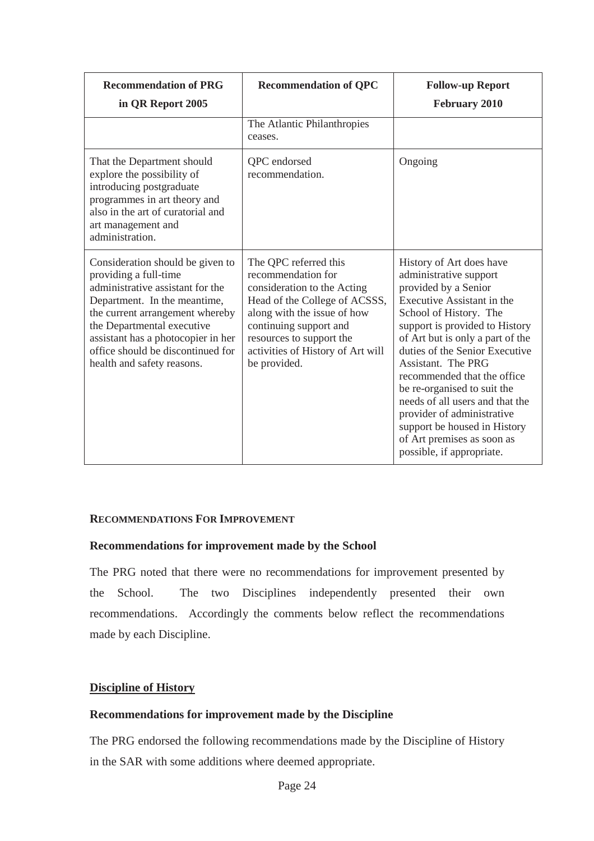| <b>Recommendation of PRG</b><br>in QR Report 2005                                                                                                                                                                                                                                                       | <b>Recommendation of QPC</b>                                                                                                                                                                                                                          | <b>Follow-up Report</b><br>February 2010                                                                                                                                                                                                                                                                                                                                                                                                                                                   |
|---------------------------------------------------------------------------------------------------------------------------------------------------------------------------------------------------------------------------------------------------------------------------------------------------------|-------------------------------------------------------------------------------------------------------------------------------------------------------------------------------------------------------------------------------------------------------|--------------------------------------------------------------------------------------------------------------------------------------------------------------------------------------------------------------------------------------------------------------------------------------------------------------------------------------------------------------------------------------------------------------------------------------------------------------------------------------------|
|                                                                                                                                                                                                                                                                                                         | The Atlantic Philanthropies<br>ceases.                                                                                                                                                                                                                |                                                                                                                                                                                                                                                                                                                                                                                                                                                                                            |
| That the Department should<br>explore the possibility of<br>introducing postgraduate<br>programmes in art theory and<br>also in the art of curatorial and<br>art management and<br>administration.                                                                                                      | QPC endorsed<br>recommendation.                                                                                                                                                                                                                       | Ongoing                                                                                                                                                                                                                                                                                                                                                                                                                                                                                    |
| Consideration should be given to<br>providing a full-time<br>administrative assistant for the<br>Department. In the meantime,<br>the current arrangement whereby<br>the Departmental executive<br>assistant has a photocopier in her<br>office should be discontinued for<br>health and safety reasons. | The QPC referred this<br>recommendation for<br>consideration to the Acting<br>Head of the College of ACSSS,<br>along with the issue of how<br>continuing support and<br>resources to support the<br>activities of History of Art will<br>be provided. | History of Art does have<br>administrative support<br>provided by a Senior<br>Executive Assistant in the<br>School of History. The<br>support is provided to History<br>of Art but is only a part of the<br>duties of the Senior Executive<br>Assistant. The PRG<br>recommended that the office<br>be re-organised to suit the<br>needs of all users and that the<br>provider of administrative<br>support be housed in History<br>of Art premises as soon as<br>possible, if appropriate. |

#### **RECOMMENDATIONS FOR IMPROVEMENT**

#### **Recommendations for improvement made by the School**

The PRG noted that there were no recommendations for improvement presented by the School. The two Disciplines independently presented their own recommendations. Accordingly the comments below reflect the recommendations made by each Discipline.

## **Discipline of History**

#### **Recommendations for improvement made by the Discipline**

The PRG endorsed the following recommendations made by the Discipline of History in the SAR with some additions where deemed appropriate.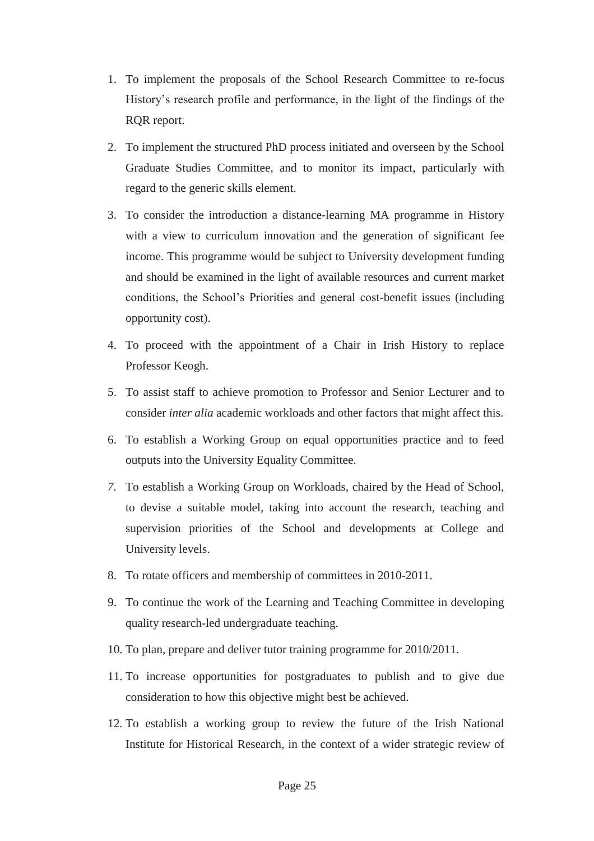- 1. To implement the proposals of the School Research Committee to re-focus History's research profile and performance, in the light of the findings of the RQR report.
- 2. To implement the structured PhD process initiated and overseen by the School Graduate Studies Committee, and to monitor its impact, particularly with regard to the generic skills element.
- 3. To consider the introduction a distance-learning MA programme in History with a view to curriculum innovation and the generation of significant fee income. This programme would be subject to University development funding and should be examined in the light of available resources and current market conditions, the School's Priorities and general cost-benefit issues (including opportunity cost).
- 4. To proceed with the appointment of a Chair in Irish History to replace Professor Keogh.
- 5. To assist staff to achieve promotion to Professor and Senior Lecturer and to consider *inter alia* academic workloads and other factors that might affect this.
- 6. To establish a Working Group on equal opportunities practice and to feed outputs into the University Equality Committee.
- *7.* To establish a Working Group on Workloads, chaired by the Head of School, to devise a suitable model, taking into account the research, teaching and supervision priorities of the School and developments at College and University levels.
- 8. To rotate officers and membership of committees in 2010-2011.
- 9. To continue the work of the Learning and Teaching Committee in developing quality research-led undergraduate teaching.
- 10. To plan, prepare and deliver tutor training programme for 2010/2011.
- 11. To increase opportunities for postgraduates to publish and to give due consideration to how this objective might best be achieved.
- 12. To establish a working group to review the future of the Irish National Institute for Historical Research, in the context of a wider strategic review of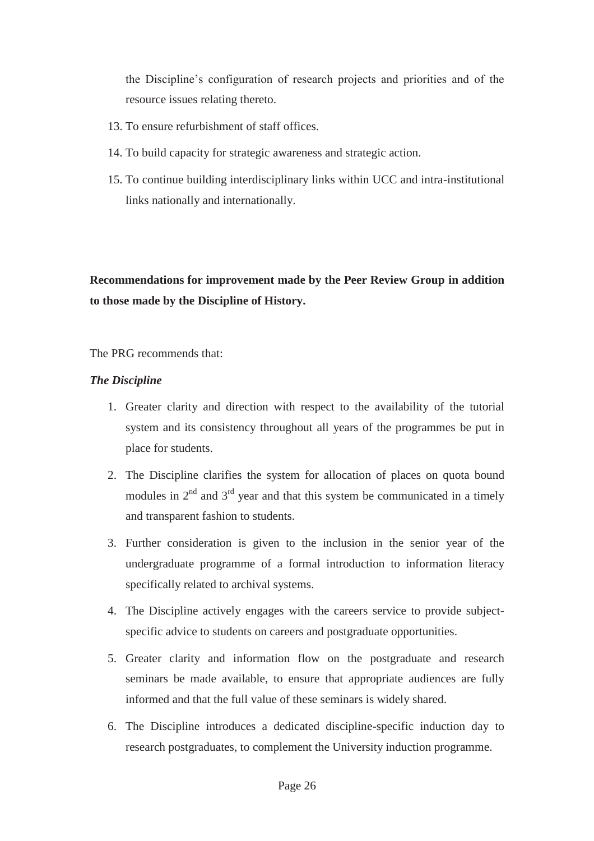the Discipline's configuration of research projects and priorities and of the resource issues relating thereto.

- 13. To ensure refurbishment of staff offices.
- 14. To build capacity for strategic awareness and strategic action.
- 15. To continue building interdisciplinary links within UCC and intra-institutional links nationally and internationally.

**Recommendations for improvement made by the Peer Review Group in addition to those made by the Discipline of History.** 

## The PRG recommends that:

## *The Discipline*

- 1. Greater clarity and direction with respect to the availability of the tutorial system and its consistency throughout all years of the programmes be put in place for students.
- 2. The Discipline clarifies the system for allocation of places on quota bound modules in  $2<sup>nd</sup>$  and  $3<sup>rd</sup>$  year and that this system be communicated in a timely and transparent fashion to students.
- 3. Further consideration is given to the inclusion in the senior year of the undergraduate programme of a formal introduction to information literacy specifically related to archival systems.
- 4. The Discipline actively engages with the careers service to provide subjectspecific advice to students on careers and postgraduate opportunities.
- 5. Greater clarity and information flow on the postgraduate and research seminars be made available, to ensure that appropriate audiences are fully informed and that the full value of these seminars is widely shared.
- 6. The Discipline introduces a dedicated discipline-specific induction day to research postgraduates, to complement the University induction programme.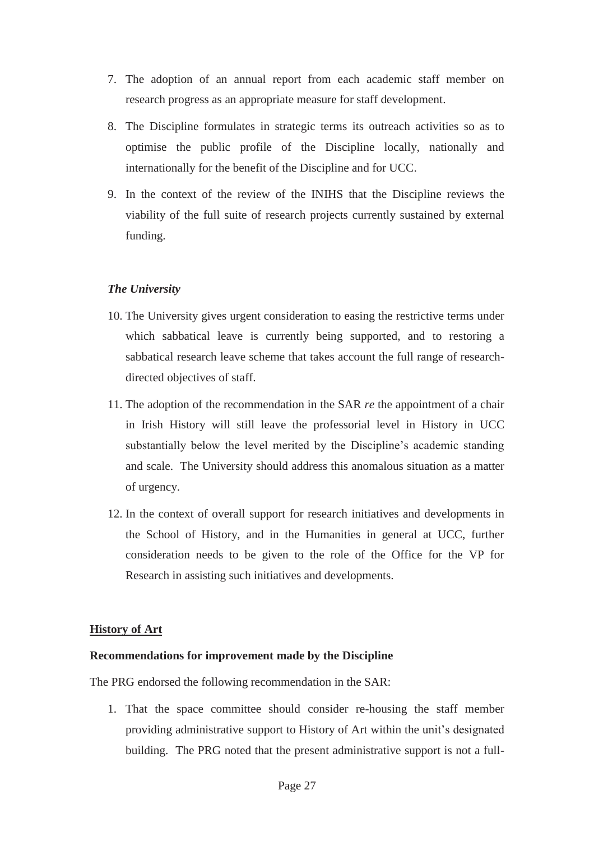- 7. The adoption of an annual report from each academic staff member on research progress as an appropriate measure for staff development.
- 8. The Discipline formulates in strategic terms its outreach activities so as to optimise the public profile of the Discipline locally, nationally and internationally for the benefit of the Discipline and for UCC.
- 9. In the context of the review of the INIHS that the Discipline reviews the viability of the full suite of research projects currently sustained by external funding.

## *The University*

- 10. The University gives urgent consideration to easing the restrictive terms under which sabbatical leave is currently being supported, and to restoring a sabbatical research leave scheme that takes account the full range of researchdirected objectives of staff.
- 11. The adoption of the recommendation in the SAR *re* the appointment of a chair in Irish History will still leave the professorial level in History in UCC substantially below the level merited by the Discipline's academic standing and scale. The University should address this anomalous situation as a matter of urgency.
- 12. In the context of overall support for research initiatives and developments in the School of History, and in the Humanities in general at UCC, further consideration needs to be given to the role of the Office for the VP for Research in assisting such initiatives and developments.

## **History of Art**

## **Recommendations for improvement made by the Discipline**

The PRG endorsed the following recommendation in the SAR:

1. That the space committee should consider re-housing the staff member providing administrative support to History of Art within the unit's designated building. The PRG noted that the present administrative support is not a full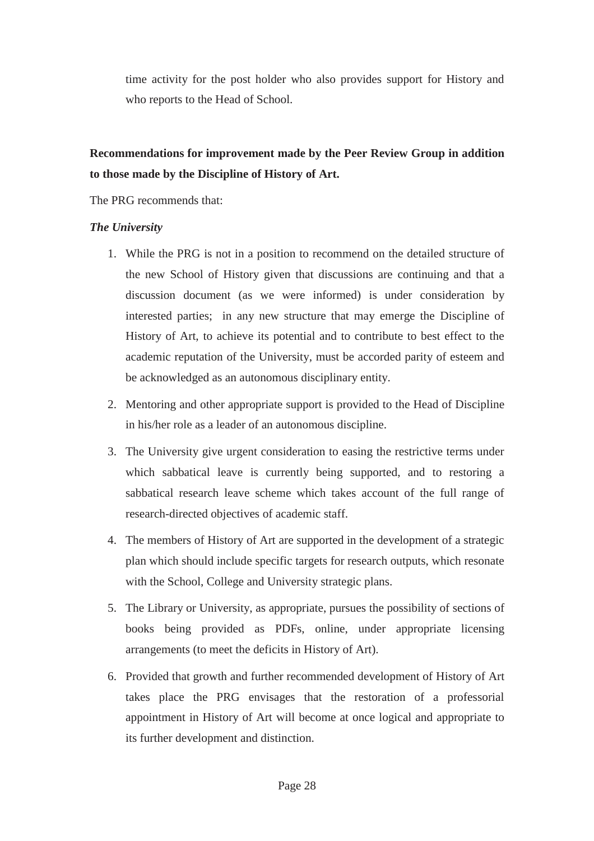time activity for the post holder who also provides support for History and who reports to the Head of School.

# **Recommendations for improvement made by the Peer Review Group in addition to those made by the Discipline of History of Art.**

The PRG recommends that:

#### *The University*

- 1. While the PRG is not in a position to recommend on the detailed structure of the new School of History given that discussions are continuing and that a discussion document (as we were informed) is under consideration by interested parties; in any new structure that may emerge the Discipline of History of Art, to achieve its potential and to contribute to best effect to the academic reputation of the University, must be accorded parity of esteem and be acknowledged as an autonomous disciplinary entity.
- 2. Mentoring and other appropriate support is provided to the Head of Discipline in his/her role as a leader of an autonomous discipline.
- 3. The University give urgent consideration to easing the restrictive terms under which sabbatical leave is currently being supported, and to restoring a sabbatical research leave scheme which takes account of the full range of research-directed objectives of academic staff.
- 4. The members of History of Art are supported in the development of a strategic plan which should include specific targets for research outputs, which resonate with the School, College and University strategic plans.
- 5. The Library or University, as appropriate, pursues the possibility of sections of books being provided as PDFs, online, under appropriate licensing arrangements (to meet the deficits in History of Art).
- 6. Provided that growth and further recommended development of History of Art takes place the PRG envisages that the restoration of a professorial appointment in History of Art will become at once logical and appropriate to its further development and distinction.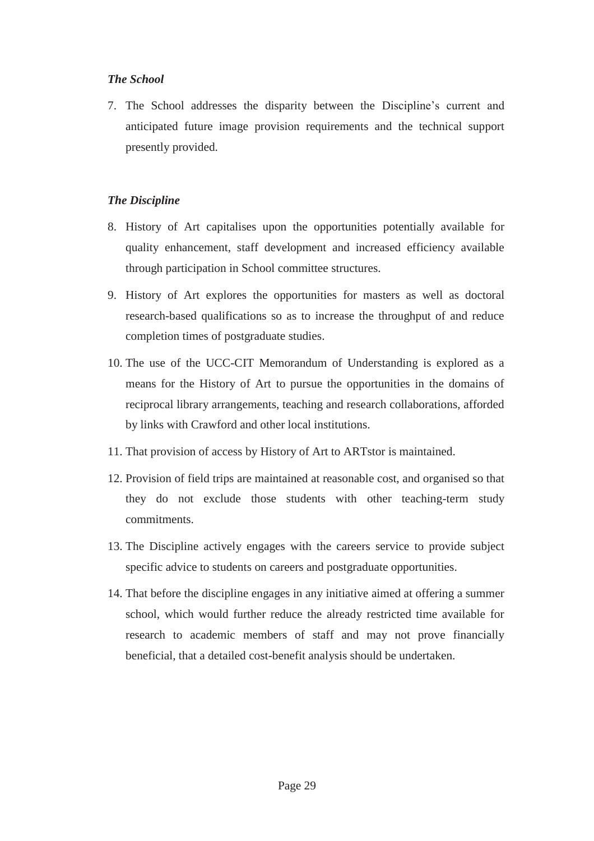## *The School*

7. The School addresses the disparity between the Discipline's current and anticipated future image provision requirements and the technical support presently provided.

## *The Discipline*

- 8. History of Art capitalises upon the opportunities potentially available for quality enhancement, staff development and increased efficiency available through participation in School committee structures.
- 9. History of Art explores the opportunities for masters as well as doctoral research-based qualifications so as to increase the throughput of and reduce completion times of postgraduate studies.
- 10. The use of the UCC-CIT Memorandum of Understanding is explored as a means for the History of Art to pursue the opportunities in the domains of reciprocal library arrangements, teaching and research collaborations, afforded by links with Crawford and other local institutions.
- 11. That provision of access by History of Art to ARTstor is maintained.
- 12. Provision of field trips are maintained at reasonable cost, and organised so that they do not exclude those students with other teaching-term study commitments.
- 13. The Discipline actively engages with the careers service to provide subject specific advice to students on careers and postgraduate opportunities.
- 14. That before the discipline engages in any initiative aimed at offering a summer school, which would further reduce the already restricted time available for research to academic members of staff and may not prove financially beneficial, that a detailed cost-benefit analysis should be undertaken.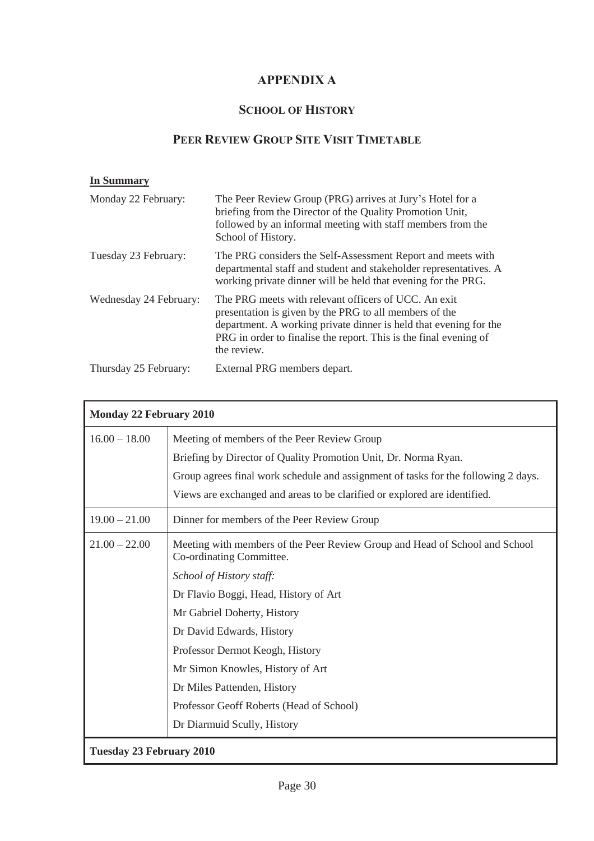# **APPENDIX A**

# **SCHOOL OF HISTORY**

# **PEER REVIEW GROUP SITE VISIT TIMETABLE**

#### **In Summary**

| Monday 22 February:    | The Peer Review Group (PRG) arrives at Jury's Hotel for a<br>briefing from the Director of the Quality Promotion Unit,<br>followed by an informal meeting with staff members from the<br>School of History.                                                             |
|------------------------|-------------------------------------------------------------------------------------------------------------------------------------------------------------------------------------------------------------------------------------------------------------------------|
| Tuesday 23 February:   | The PRG considers the Self-Assessment Report and meets with<br>departmental staff and student and stakeholder representatives. A<br>working private dinner will be held that evening for the PRG.                                                                       |
| Wednesday 24 February: | The PRG meets with relevant officers of UCC. An exit<br>presentation is given by the PRG to all members of the<br>department. A working private dinner is held that evening for the<br>PRG in order to finalise the report. This is the final evening of<br>the review. |
| Thursday 25 February:  | External PRG members depart.                                                                                                                                                                                                                                            |

| <b>Monday 22 February 2010</b>  |                                                                                                         |  |  |
|---------------------------------|---------------------------------------------------------------------------------------------------------|--|--|
| $16.00 - 18.00$                 | Meeting of members of the Peer Review Group                                                             |  |  |
|                                 | Briefing by Director of Quality Promotion Unit, Dr. Norma Ryan.                                         |  |  |
|                                 | Group agrees final work schedule and assignment of tasks for the following 2 days.                      |  |  |
|                                 | Views are exchanged and areas to be clarified or explored are identified.                               |  |  |
| $19.00 - 21.00$                 | Dinner for members of the Peer Review Group                                                             |  |  |
| $21.00 - 22.00$                 | Meeting with members of the Peer Review Group and Head of School and School<br>Co-ordinating Committee. |  |  |
|                                 | School of History staff:                                                                                |  |  |
|                                 | Dr Flavio Boggi, Head, History of Art                                                                   |  |  |
|                                 | Mr Gabriel Doherty, History                                                                             |  |  |
|                                 | Dr David Edwards, History                                                                               |  |  |
|                                 | Professor Dermot Keogh, History                                                                         |  |  |
|                                 | Mr Simon Knowles, History of Art                                                                        |  |  |
|                                 | Dr Miles Pattenden, History                                                                             |  |  |
|                                 | Professor Geoff Roberts (Head of School)                                                                |  |  |
|                                 | Dr Diarmuid Scully, History                                                                             |  |  |
| <b>Tuesday 23 February 2010</b> |                                                                                                         |  |  |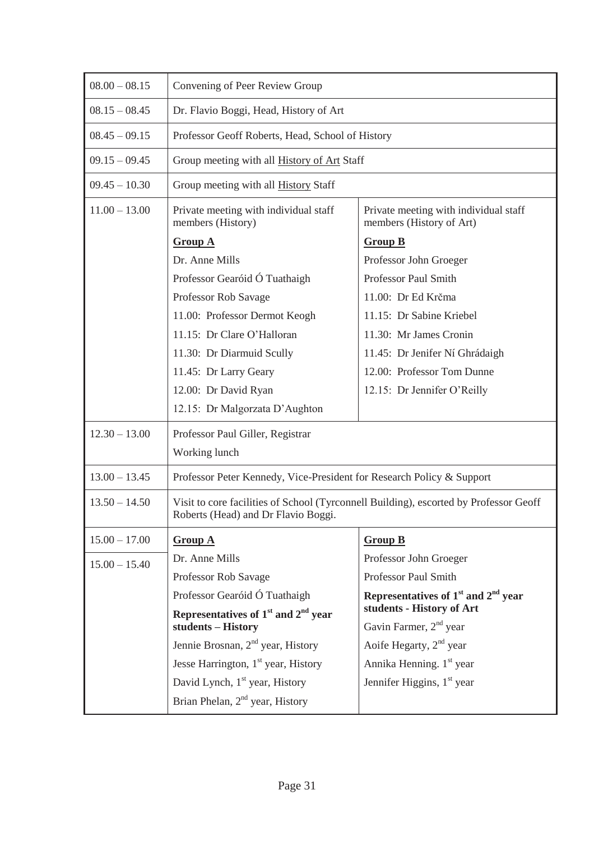| $08.00 - 08.15$ | Convening of Peer Review Group                                                                                               |                                                                   |  |
|-----------------|------------------------------------------------------------------------------------------------------------------------------|-------------------------------------------------------------------|--|
| $08.15 - 08.45$ | Dr. Flavio Boggi, Head, History of Art                                                                                       |                                                                   |  |
| $08.45 - 09.15$ | Professor Geoff Roberts, Head, School of History                                                                             |                                                                   |  |
| $09.15 - 09.45$ | Group meeting with all <b>History of Art</b> Staff                                                                           |                                                                   |  |
| $09.45 - 10.30$ | Group meeting with all History Staff                                                                                         |                                                                   |  |
| $11.00 - 13.00$ | Private meeting with individual staff<br>members (History)                                                                   | Private meeting with individual staff<br>members (History of Art) |  |
|                 | <b>Group A</b>                                                                                                               | <b>Group B</b>                                                    |  |
|                 | Dr. Anne Mills                                                                                                               | Professor John Groeger                                            |  |
|                 | Professor Gearóid Ó Tuathaigh                                                                                                | Professor Paul Smith                                              |  |
|                 | Professor Rob Savage                                                                                                         | 11.00: Dr Ed Krčma                                                |  |
|                 | 11.00: Professor Dermot Keogh                                                                                                | 11.15: Dr Sabine Kriebel                                          |  |
|                 | 11.15: Dr Clare O'Halloran                                                                                                   | 11.30: Mr James Cronin                                            |  |
|                 | 11.30: Dr Diarmuid Scully                                                                                                    | 11.45: Dr Jenifer Ní Ghrádaigh                                    |  |
|                 | 11.45: Dr Larry Geary                                                                                                        | 12.00: Professor Tom Dunne                                        |  |
|                 | 12.00: Dr David Ryan                                                                                                         | 12.15: Dr Jennifer O'Reilly                                       |  |
|                 | 12.15: Dr Malgorzata D'Aughton                                                                                               |                                                                   |  |
| $12.30 - 13.00$ | Professor Paul Giller, Registrar                                                                                             |                                                                   |  |
|                 | Working lunch                                                                                                                |                                                                   |  |
| $13.00 - 13.45$ | Professor Peter Kennedy, Vice-President for Research Policy & Support                                                        |                                                                   |  |
| $13.50 - 14.50$ | Visit to core facilities of School (Tyrconnell Building), escorted by Professor Geoff<br>Roberts (Head) and Dr Flavio Boggi. |                                                                   |  |
| $15.00 - 17.00$ | <b>Group A</b>                                                                                                               | <b>Group B</b>                                                    |  |
| $15.00 - 15.40$ | Dr. Anne Mills                                                                                                               | Professor John Groeger                                            |  |
|                 | Professor Rob Savage                                                                                                         | Professor Paul Smith                                              |  |
|                 | Professor Gearóid Ó Tuathaigh                                                                                                | Representatives of $1st$ and $2nd$ year                           |  |
|                 | Representatives of $1st$ and $2nd$ year                                                                                      | students - History of Art                                         |  |
|                 | students - History                                                                                                           | Gavin Farmer, $2nd$ year                                          |  |
|                 | Jennie Brosnan, $2nd$ year, History                                                                                          | Aoife Hegarty, 2 <sup>nd</sup> year                               |  |
|                 | Jesse Harrington, $1st$ year, History                                                                                        | Annika Henning. 1 <sup>st</sup> year                              |  |
|                 | David Lynch, 1 <sup>st</sup> year, History                                                                                   | Jennifer Higgins, $1st$ year                                      |  |
|                 | Brian Phelan, $2nd$ year, History                                                                                            |                                                                   |  |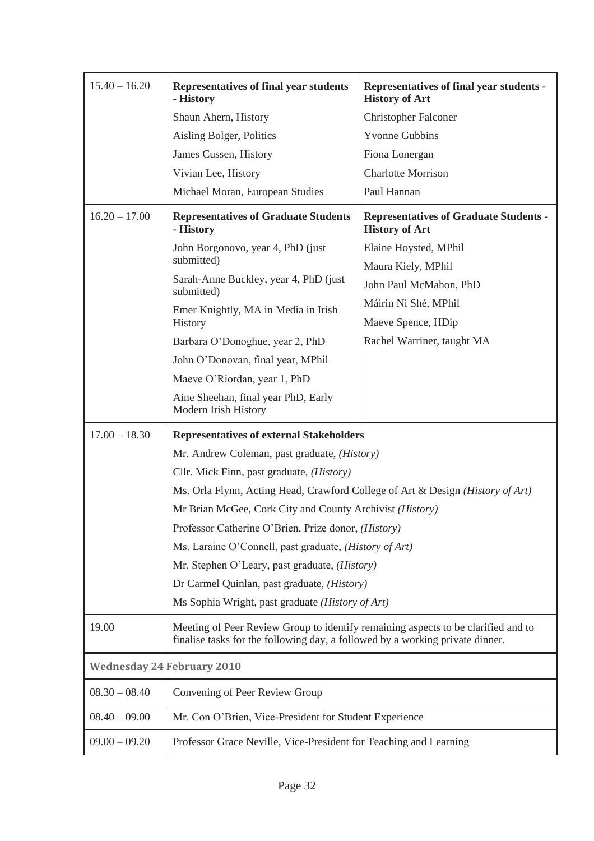| $15.40 - 16.20$                   | Representatives of final year students<br>- History                                                                                                                                                                 | Representatives of final year students -<br><b>History of Art</b>      |  |  |
|-----------------------------------|---------------------------------------------------------------------------------------------------------------------------------------------------------------------------------------------------------------------|------------------------------------------------------------------------|--|--|
|                                   | Shaun Ahern, History                                                                                                                                                                                                | <b>Christopher Falconer</b>                                            |  |  |
|                                   | Aisling Bolger, Politics                                                                                                                                                                                            | <b>Yvonne Gubbins</b>                                                  |  |  |
|                                   | James Cussen, History                                                                                                                                                                                               | Fiona Lonergan                                                         |  |  |
|                                   | Vivian Lee, History                                                                                                                                                                                                 | <b>Charlotte Morrison</b>                                              |  |  |
|                                   | Michael Moran, European Studies                                                                                                                                                                                     | Paul Hannan                                                            |  |  |
| $16.20 - 17.00$                   | <b>Representatives of Graduate Students</b><br>- History                                                                                                                                                            | <b>Representatives of Graduate Students -</b><br><b>History of Art</b> |  |  |
|                                   | John Borgonovo, year 4, PhD (just                                                                                                                                                                                   | Elaine Hoysted, MPhil                                                  |  |  |
|                                   | submitted)                                                                                                                                                                                                          | Maura Kiely, MPhil                                                     |  |  |
|                                   | Sarah-Anne Buckley, year 4, PhD (just<br>submitted)                                                                                                                                                                 | John Paul McMahon, PhD                                                 |  |  |
|                                   | Emer Knightly, MA in Media in Irish                                                                                                                                                                                 | Máirin Ni Shé, MPhil                                                   |  |  |
|                                   | History                                                                                                                                                                                                             | Maeve Spence, HDip                                                     |  |  |
|                                   | Barbara O'Donoghue, year 2, PhD                                                                                                                                                                                     | Rachel Warriner, taught MA                                             |  |  |
|                                   | John O'Donovan, final year, MPhil                                                                                                                                                                                   |                                                                        |  |  |
|                                   | Maeve O'Riordan, year 1, PhD                                                                                                                                                                                        |                                                                        |  |  |
|                                   | Aine Sheehan, final year PhD, Early<br>Modern Irish History                                                                                                                                                         |                                                                        |  |  |
| $17.00 - 18.30$                   | <b>Representatives of external Stakeholders</b>                                                                                                                                                                     |                                                                        |  |  |
|                                   | Mr. Andrew Coleman, past graduate, (History)                                                                                                                                                                        |                                                                        |  |  |
|                                   | Cllr. Mick Finn, past graduate, ( <i>History</i> )                                                                                                                                                                  |                                                                        |  |  |
|                                   | Ms. Orla Flynn, Acting Head, Crawford College of Art & Design (History of Art)                                                                                                                                      |                                                                        |  |  |
|                                   | Mr Brian McGee, Cork City and County Archivist (History)                                                                                                                                                            |                                                                        |  |  |
|                                   | Professor Catherine O'Brien, Prize donor, (History)                                                                                                                                                                 |                                                                        |  |  |
|                                   | Ms. Laraine O'Connell, past graduate, (History of Art)<br>Mr. Stephen O'Leary, past graduate, ( <i>History</i> )<br>Dr Carmel Quinlan, past graduate, (History)<br>Ms Sophia Wright, past graduate (History of Art) |                                                                        |  |  |
|                                   |                                                                                                                                                                                                                     |                                                                        |  |  |
|                                   |                                                                                                                                                                                                                     |                                                                        |  |  |
|                                   |                                                                                                                                                                                                                     |                                                                        |  |  |
| 19.00                             | Meeting of Peer Review Group to identify remaining aspects to be clarified and to<br>finalise tasks for the following day, a followed by a working private dinner.                                                  |                                                                        |  |  |
| <b>Wednesday 24 February 2010</b> |                                                                                                                                                                                                                     |                                                                        |  |  |
| $08.30 - 08.40$                   | Convening of Peer Review Group                                                                                                                                                                                      |                                                                        |  |  |
| $08.40 - 09.00$                   | Mr. Con O'Brien, Vice-President for Student Experience                                                                                                                                                              |                                                                        |  |  |
| $09.00 - 09.20$                   | Professor Grace Neville, Vice-President for Teaching and Learning                                                                                                                                                   |                                                                        |  |  |